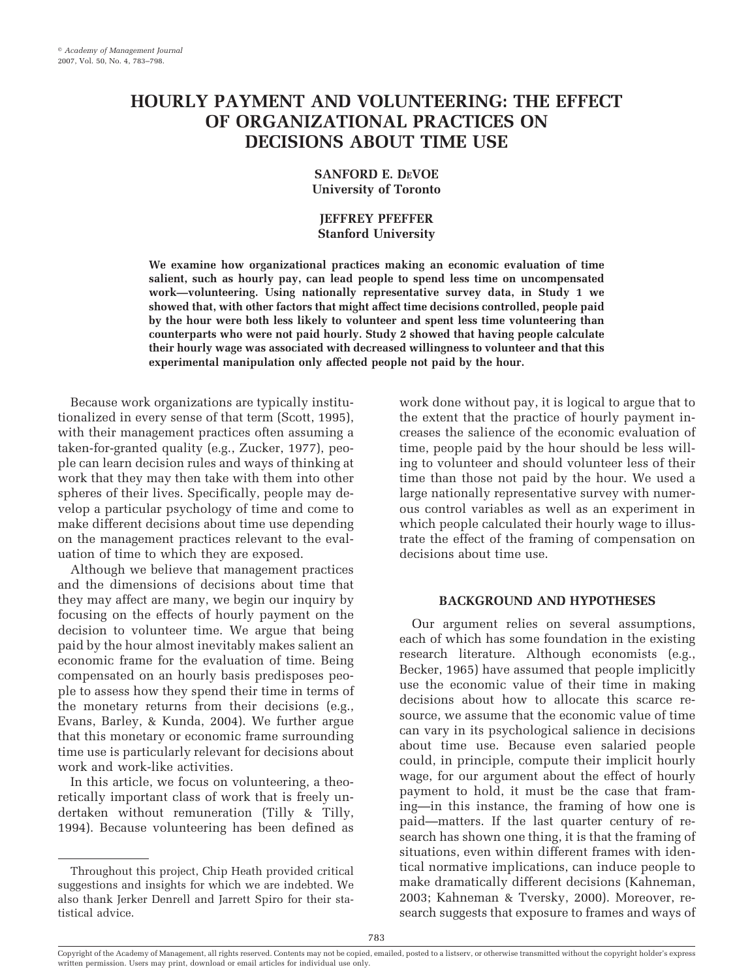# **HOURLY PAYMENT AND VOLUNTEERING: THE EFFECT OF ORGANIZATIONAL PRACTICES ON DECISIONS ABOUT TIME USE**

### **SANFORD E. DEVOE University of Toronto**

### **JEFFREY PFEFFER Stanford University**

**We examine how organizational practices making an economic evaluation of time salient, such as hourly pay, can lead people to spend less time on uncompensated work—volunteering. Using nationally representative survey data, in Study 1 we showed that, with other factors that might affect time decisions controlled, people paid by the hour were both less likely to volunteer and spent less time volunteering than counterparts who were not paid hourly. Study 2 showed that having people calculate their hourly wage was associated with decreased willingness to volunteer and that this experimental manipulation only affected people not paid by the hour.**

Because work organizations are typically institutionalized in every sense of that term (Scott, 1995), with their management practices often assuming a taken-for-granted quality (e.g., Zucker, 1977), people can learn decision rules and ways of thinking at work that they may then take with them into other spheres of their lives. Specifically, people may develop a particular psychology of time and come to make different decisions about time use depending on the management practices relevant to the evaluation of time to which they are exposed.

Although we believe that management practices and the dimensions of decisions about time that they may affect are many, we begin our inquiry by focusing on the effects of hourly payment on the decision to volunteer time. We argue that being paid by the hour almost inevitably makes salient an economic frame for the evaluation of time. Being compensated on an hourly basis predisposes people to assess how they spend their time in terms of the monetary returns from their decisions (e.g., Evans, Barley, & Kunda, 2004). We further argue that this monetary or economic frame surrounding time use is particularly relevant for decisions about work and work-like activities.

In this article, we focus on volunteering, a theoretically important class of work that is freely undertaken without remuneration (Tilly & Tilly, 1994). Because volunteering has been defined as work done without pay, it is logical to argue that to the extent that the practice of hourly payment increases the salience of the economic evaluation of time, people paid by the hour should be less willing to volunteer and should volunteer less of their time than those not paid by the hour. We used a large nationally representative survey with numerous control variables as well as an experiment in which people calculated their hourly wage to illustrate the effect of the framing of compensation on decisions about time use.

### **BACKGROUND AND HYPOTHESES**

Our argument relies on several assumptions, each of which has some foundation in the existing research literature. Although economists (e.g., Becker, 1965) have assumed that people implicitly use the economic value of their time in making decisions about how to allocate this scarce resource, we assume that the economic value of time can vary in its psychological salience in decisions about time use. Because even salaried people could, in principle, compute their implicit hourly wage, for our argument about the effect of hourly payment to hold, it must be the case that framing—in this instance, the framing of how one is paid—matters. If the last quarter century of research has shown one thing, it is that the framing of situations, even within different frames with identical normative implications, can induce people to make dramatically different decisions (Kahneman, 2003; Kahneman & Tversky, 2000). Moreover, research suggests that exposure to frames and ways of

Throughout this project, Chip Heath provided critical suggestions and insights for which we are indebted. We also thank Jerker Denrell and Jarrett Spiro for their statistical advice.

Copyright of the Academy of Management, all rights reserved. Contents may not be copied, emailed, posted to a listserv, or otherwise transmitted without the copyright holder's express written permission. Users may print, download or email articles for individual use only.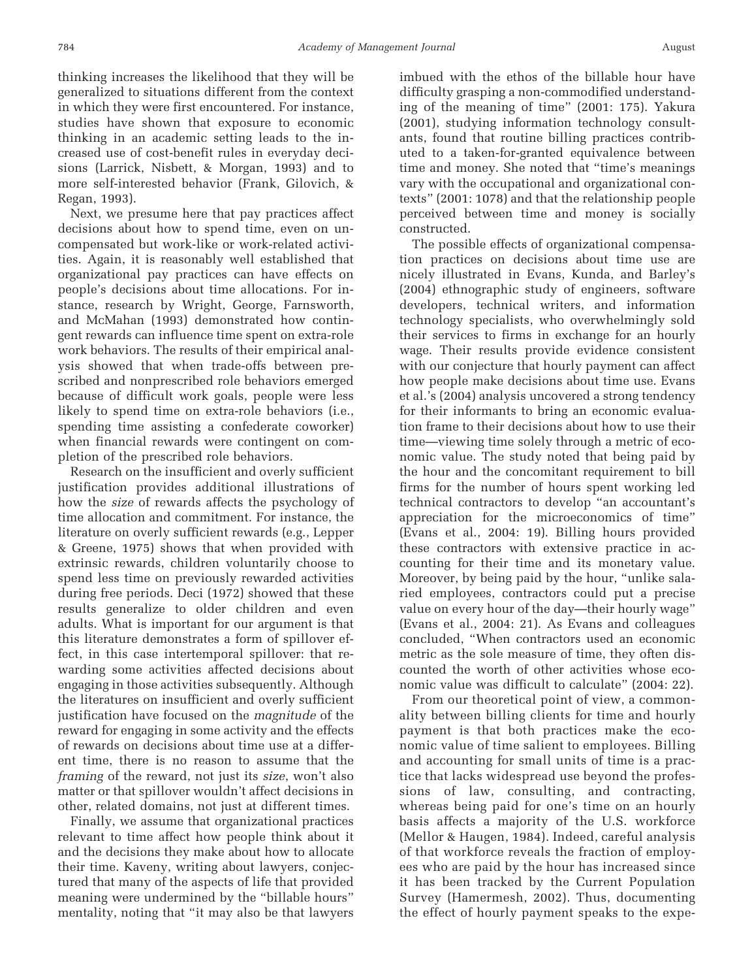thinking increases the likelihood that they will be generalized to situations different from the context in which they were first encountered. For instance, studies have shown that exposure to economic thinking in an academic setting leads to the increased use of cost-benefit rules in everyday decisions (Larrick, Nisbett, & Morgan, 1993) and to more self-interested behavior (Frank, Gilovich, & Regan, 1993).

Next, we presume here that pay practices affect decisions about how to spend time, even on uncompensated but work-like or work-related activities. Again, it is reasonably well established that organizational pay practices can have effects on people's decisions about time allocations. For instance, research by Wright, George, Farnsworth, and McMahan (1993) demonstrated how contingent rewards can influence time spent on extra-role work behaviors. The results of their empirical analysis showed that when trade-offs between prescribed and nonprescribed role behaviors emerged because of difficult work goals, people were less likely to spend time on extra-role behaviors (i.e., spending time assisting a confederate coworker) when financial rewards were contingent on completion of the prescribed role behaviors.

Research on the insufficient and overly sufficient justification provides additional illustrations of how the *size* of rewards affects the psychology of time allocation and commitment. For instance, the literature on overly sufficient rewards (e.g., Lepper & Greene, 1975) shows that when provided with extrinsic rewards, children voluntarily choose to spend less time on previously rewarded activities during free periods. Deci (1972) showed that these results generalize to older children and even adults. What is important for our argument is that this literature demonstrates a form of spillover effect, in this case intertemporal spillover: that rewarding some activities affected decisions about engaging in those activities subsequently. Although the literatures on insufficient and overly sufficient justification have focused on the *magnitude* of the reward for engaging in some activity and the effects of rewards on decisions about time use at a different time, there is no reason to assume that the *framing* of the reward, not just its *size*, won't also matter or that spillover wouldn't affect decisions in other, related domains, not just at different times.

Finally, we assume that organizational practices relevant to time affect how people think about it and the decisions they make about how to allocate their time. Kaveny, writing about lawyers, conjectured that many of the aspects of life that provided meaning were undermined by the "billable hours" mentality, noting that "it may also be that lawyers

imbued with the ethos of the billable hour have difficulty grasping a non-commodified understanding of the meaning of time" (2001: 175). Yakura (2001), studying information technology consultants, found that routine billing practices contributed to a taken-for-granted equivalence between time and money. She noted that "time's meanings vary with the occupational and organizational contexts" (2001: 1078) and that the relationship people perceived between time and money is socially constructed.

The possible effects of organizational compensation practices on decisions about time use are nicely illustrated in Evans, Kunda, and Barley's (2004) ethnographic study of engineers, software developers, technical writers, and information technology specialists, who overwhelmingly sold their services to firms in exchange for an hourly wage. Their results provide evidence consistent with our conjecture that hourly payment can affect how people make decisions about time use. Evans et al.'s (2004) analysis uncovered a strong tendency for their informants to bring an economic evaluation frame to their decisions about how to use their time—viewing time solely through a metric of economic value. The study noted that being paid by the hour and the concomitant requirement to bill firms for the number of hours spent working led technical contractors to develop "an accountant's appreciation for the microeconomics of time" (Evans et al., 2004: 19). Billing hours provided these contractors with extensive practice in accounting for their time and its monetary value. Moreover, by being paid by the hour, "unlike salaried employees, contractors could put a precise value on every hour of the day—their hourly wage" (Evans et al., 2004: 21). As Evans and colleagues concluded, "When contractors used an economic metric as the sole measure of time, they often discounted the worth of other activities whose economic value was difficult to calculate" (2004: 22).

From our theoretical point of view, a commonality between billing clients for time and hourly payment is that both practices make the economic value of time salient to employees. Billing and accounting for small units of time is a practice that lacks widespread use beyond the professions of law, consulting, and contracting, whereas being paid for one's time on an hourly basis affects a majority of the U.S. workforce (Mellor & Haugen, 1984). Indeed, careful analysis of that workforce reveals the fraction of employees who are paid by the hour has increased since it has been tracked by the Current Population Survey (Hamermesh, 2002). Thus, documenting the effect of hourly payment speaks to the expe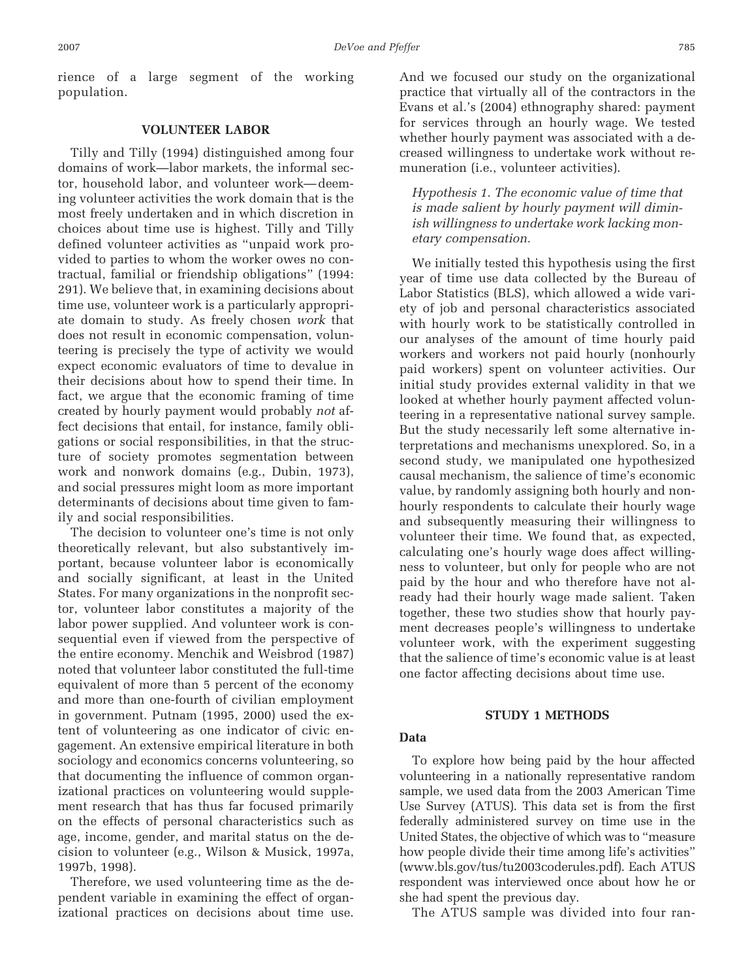rience of a large segment of the working population.

### **VOLUNTEER LABOR**

Tilly and Tilly (1994) distinguished among four domains of work—labor markets, the informal sector, household labor, and volunteer work—deeming volunteer activities the work domain that is the most freely undertaken and in which discretion in choices about time use is highest. Tilly and Tilly defined volunteer activities as "unpaid work provided to parties to whom the worker owes no contractual, familial or friendship obligations" (1994: 291). We believe that, in examining decisions about time use, volunteer work is a particularly appropriate domain to study. As freely chosen *work* that does not result in economic compensation, volunteering is precisely the type of activity we would expect economic evaluators of time to devalue in their decisions about how to spend their time. In fact, we argue that the economic framing of time created by hourly payment would probably *not* affect decisions that entail, for instance, family obligations or social responsibilities, in that the structure of society promotes segmentation between work and nonwork domains (e.g., Dubin, 1973), and social pressures might loom as more important determinants of decisions about time given to family and social responsibilities.

The decision to volunteer one's time is not only theoretically relevant, but also substantively important, because volunteer labor is economically and socially significant, at least in the United States. For many organizations in the nonprofit sector, volunteer labor constitutes a majority of the labor power supplied. And volunteer work is consequential even if viewed from the perspective of the entire economy. Menchik and Weisbrod (1987) noted that volunteer labor constituted the full-time equivalent of more than 5 percent of the economy and more than one-fourth of civilian employment in government. Putnam (1995, 2000) used the extent of volunteering as one indicator of civic engagement. An extensive empirical literature in both sociology and economics concerns volunteering, so that documenting the influence of common organizational practices on volunteering would supplement research that has thus far focused primarily on the effects of personal characteristics such as age, income, gender, and marital status on the decision to volunteer (e.g., Wilson & Musick, 1997a, 1997b, 1998).

Therefore, we used volunteering time as the dependent variable in examining the effect of organizational practices on decisions about time use. And we focused our study on the organizational practice that virtually all of the contractors in the Evans et al.'s (2004) ethnography shared: payment for services through an hourly wage. We tested whether hourly payment was associated with a decreased willingness to undertake work without remuneration (i.e., volunteer activities).

*Hypothesis 1. The economic value of time that is made salient by hourly payment will diminish willingness to undertake work lacking monetary compensation.*

We initially tested this hypothesis using the first year of time use data collected by the Bureau of Labor Statistics (BLS), which allowed a wide variety of job and personal characteristics associated with hourly work to be statistically controlled in our analyses of the amount of time hourly paid workers and workers not paid hourly (nonhourly paid workers) spent on volunteer activities. Our initial study provides external validity in that we looked at whether hourly payment affected volunteering in a representative national survey sample. But the study necessarily left some alternative interpretations and mechanisms unexplored. So, in a second study, we manipulated one hypothesized causal mechanism, the salience of time's economic value, by randomly assigning both hourly and nonhourly respondents to calculate their hourly wage and subsequently measuring their willingness to volunteer their time. We found that, as expected, calculating one's hourly wage does affect willingness to volunteer, but only for people who are not paid by the hour and who therefore have not already had their hourly wage made salient. Taken together, these two studies show that hourly payment decreases people's willingness to undertake volunteer work, with the experiment suggesting that the salience of time's economic value is at least one factor affecting decisions about time use.

#### **STUDY 1 METHODS**

### **Data**

To explore how being paid by the hour affected volunteering in a nationally representative random sample, we used data from the 2003 American Time Use Survey (ATUS). This data set is from the first federally administered survey on time use in the United States, the objective of which was to "measure how people divide their time among life's activities" (www.bls.gov/tus/tu2003coderules.pdf). Each ATUS respondent was interviewed once about how he or she had spent the previous day.

The ATUS sample was divided into four ran-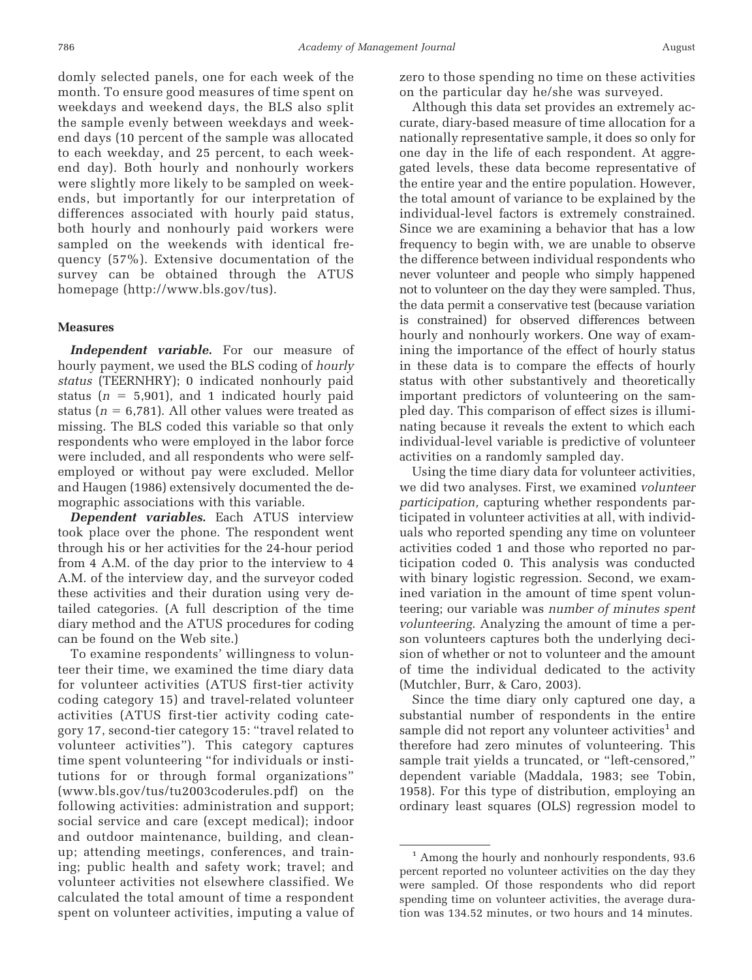domly selected panels, one for each week of the month. To ensure good measures of time spent on weekdays and weekend days, the BLS also split the sample evenly between weekdays and weekend days (10 percent of the sample was allocated to each weekday, and 25 percent, to each weekend day). Both hourly and nonhourly workers were slightly more likely to be sampled on weekends, but importantly for our interpretation of differences associated with hourly paid status, both hourly and nonhourly paid workers were sampled on the weekends with identical frequency (57%). Extensive documentation of the survey can be obtained through the ATUS homepage (http://www.bls.gov/tus).

#### **Measures**

*Independent variable.* For our measure of hourly payment, we used the BLS coding of *hourly status* (TEERNHRY); 0 indicated nonhourly paid status  $(n = 5,901)$ , and 1 indicated hourly paid status ( $n = 6,781$ ). All other values were treated as missing. The BLS coded this variable so that only respondents who were employed in the labor force were included, and all respondents who were selfemployed or without pay were excluded. Mellor and Haugen (1986) extensively documented the demographic associations with this variable.

*Dependent variables.* Each ATUS interview took place over the phone. The respondent went through his or her activities for the 24-hour period from 4 A.M. of the day prior to the interview to 4 A.M. of the interview day, and the surveyor coded these activities and their duration using very detailed categories. (A full description of the time diary method and the ATUS procedures for coding can be found on the Web site.)

To examine respondents' willingness to volunteer their time, we examined the time diary data for volunteer activities (ATUS first-tier activity coding category 15) and travel-related volunteer activities (ATUS first-tier activity coding category 17, second-tier category 15: "travel related to volunteer activities"). This category captures time spent volunteering "for individuals or institutions for or through formal organizations" (www.bls.gov/tus/tu2003coderules.pdf) on the following activities: administration and support; social service and care (except medical); indoor and outdoor maintenance, building, and cleanup; attending meetings, conferences, and training; public health and safety work; travel; and volunteer activities not elsewhere classified. We calculated the total amount of time a respondent spent on volunteer activities, imputing a value of zero to those spending no time on these activities on the particular day he/she was surveyed.

Although this data set provides an extremely accurate, diary-based measure of time allocation for a nationally representative sample, it does so only for one day in the life of each respondent. At aggregated levels, these data become representative of the entire year and the entire population. However, the total amount of variance to be explained by the individual-level factors is extremely constrained. Since we are examining a behavior that has a low frequency to begin with, we are unable to observe the difference between individual respondents who never volunteer and people who simply happened not to volunteer on the day they were sampled. Thus, the data permit a conservative test (because variation is constrained) for observed differences between hourly and nonhourly workers. One way of examining the importance of the effect of hourly status in these data is to compare the effects of hourly status with other substantively and theoretically important predictors of volunteering on the sampled day. This comparison of effect sizes is illuminating because it reveals the extent to which each individual-level variable is predictive of volunteer activities on a randomly sampled day.

Using the time diary data for volunteer activities, we did two analyses. First, we examined *volunteer participation,* capturing whether respondents participated in volunteer activities at all, with individuals who reported spending any time on volunteer activities coded 1 and those who reported no participation coded 0. This analysis was conducted with binary logistic regression. Second, we examined variation in the amount of time spent volunteering; our variable was *number of minutes spent volunteering*. Analyzing the amount of time a person volunteers captures both the underlying decision of whether or not to volunteer and the amount of time the individual dedicated to the activity (Mutchler, Burr, & Caro, 2003).

Since the time diary only captured one day, a substantial number of respondents in the entire sample did not report any volunteer activities<sup>1</sup> and therefore had zero minutes of volunteering. This sample trait yields a truncated, or "left-censored," dependent variable (Maddala, 1983; see Tobin, 1958). For this type of distribution, employing an ordinary least squares (OLS) regression model to

<sup>&</sup>lt;sup>1</sup> Among the hourly and nonhourly respondents, 93.6 percent reported no volunteer activities on the day they were sampled. Of those respondents who did report spending time on volunteer activities, the average duration was 134.52 minutes, or two hours and 14 minutes.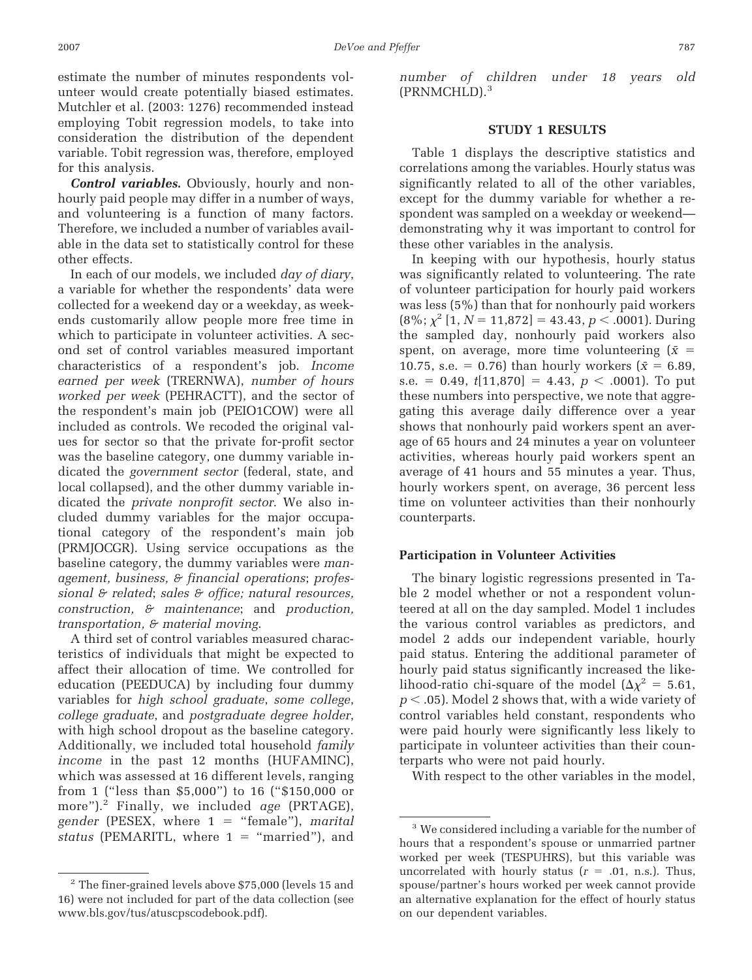estimate the number of minutes respondents volunteer would create potentially biased estimates. Mutchler et al. (2003: 1276) recommended instead employing Tobit regression models, to take into consideration the distribution of the dependent variable. Tobit regression was, therefore, employed for this analysis.

*Control variables.* Obviously, hourly and nonhourly paid people may differ in a number of ways, and volunteering is a function of many factors. Therefore, we included a number of variables available in the data set to statistically control for these other effects.

In each of our models, we included *day of diary*, a variable for whether the respondents' data were collected for a weekend day or a weekday, as weekends customarily allow people more free time in which to participate in volunteer activities. A second set of control variables measured important characteristics of a respondent's job. *Income earned per week* (TRERNWA), *number of hours worked per week* (PEHRACTT), and the sector of the respondent's main job (PEIO1COW) were all included as controls. We recoded the original values for sector so that the private for-profit sector was the baseline category, one dummy variable indicated the *government sector* (federal, state, and local collapsed), and the other dummy variable indicated the *private nonprofit sector*. We also included dummy variables for the major occupational category of the respondent's main job (PRMJOCGR). Using service occupations as the baseline category, the dummy variables were *management, business, & financial operations*; *professional & related*; *sales & office; natural resources, construction, & maintenance*; and *production, transportation, & material moving*.

A third set of control variables measured characteristics of individuals that might be expected to affect their allocation of time. We controlled for education (PEEDUCA) by including four dummy variables for *high school graduate*, *some college*, *college graduate*, and *postgraduate degree holder*, with high school dropout as the baseline category. Additionally, we included total household *family income* in the past 12 months (HUFAMINC), which was assessed at 16 different levels, ranging from 1 ("less than \$5,000") to 16 ("\$150,000 or more").<sup>2</sup> Finally, we included *age* (PRTAGE), *gender* (PESEX, where 1 "female"), *marital status* (PEMARITL, where  $1 =$  "married"), and

<sup>2</sup> The finer-grained levels above \$75,000 (levels 15 and 16) were not included for part of the data collection (see www.bls.gov/tus/atuscpscodebook.pdf).

*number of children under 18 years old* (PRNMCHLD).<sup>3</sup>

### **STUDY 1 RESULTS**

Table 1 displays the descriptive statistics and correlations among the variables. Hourly status was significantly related to all of the other variables, except for the dummy variable for whether a respondent was sampled on a weekday or weekend demonstrating why it was important to control for these other variables in the analysis.

In keeping with our hypothesis, hourly status was significantly related to volunteering. The rate of volunteer participation for hourly paid workers was less (5%) than that for nonhourly paid workers  $(8\%; \chi^2 [1, N = 11,872] = 43.43, p < .0001)$ . During the sampled day, nonhourly paid workers also spent, on average, more time volunteering  $(\bar{x} =$ 10.75, s.e.  $= 0.76$ ) than hourly workers ( $\bar{x} = 6.89$ ,  $s.e. = 0.49, t[11,870] = 4.43, p < .0001$ ). To put these numbers into perspective, we note that aggregating this average daily difference over a year shows that nonhourly paid workers spent an average of 65 hours and 24 minutes a year on volunteer activities, whereas hourly paid workers spent an average of 41 hours and 55 minutes a year. Thus, hourly workers spent, on average, 36 percent less time on volunteer activities than their nonhourly counterparts.

#### **Participation in Volunteer Activities**

The binary logistic regressions presented in Table 2 model whether or not a respondent volunteered at all on the day sampled. Model 1 includes the various control variables as predictors, and model 2 adds our independent variable, hourly paid status. Entering the additional parameter of hourly paid status significantly increased the likelihood-ratio chi-square of the model ( $\Delta \chi^2 = 5.61$ ,  $p$  < .05). Model 2 shows that, with a wide variety of control variables held constant, respondents who were paid hourly were significantly less likely to participate in volunteer activities than their counterparts who were not paid hourly.

With respect to the other variables in the model,

<sup>3</sup> We considered including a variable for the number of hours that a respondent's spouse or unmarried partner worked per week (TESPUHRS), but this variable was uncorrelated with hourly status  $(r = .01, n.s.).$  Thus, spouse/partner's hours worked per week cannot provide an alternative explanation for the effect of hourly status on our dependent variables.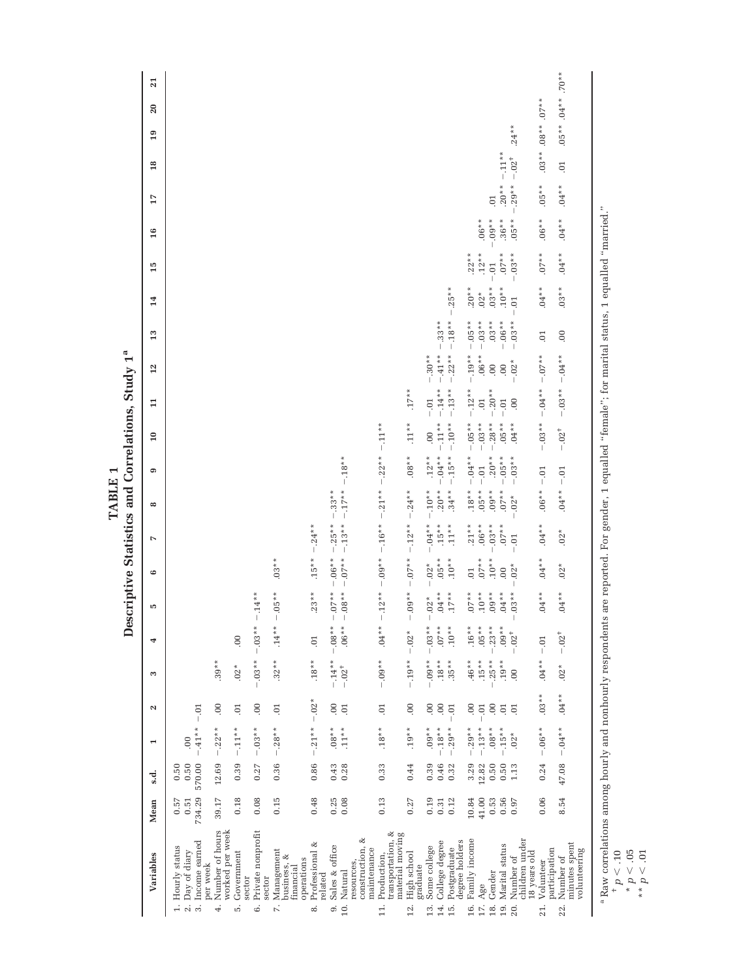| $.09**$<br>$.36**$<br>$.05**$<br>$.06**$<br>$* * 10.$<br>$.22**$<br>$.12**$<br>$-.03**$<br>$-0.01$<br>$.03**$<br>$.20**$<br>$.10**$<br>$-.25**$<br>$.02*$<br>$-0.01$<br>14<br>$-.18**$<br>$-.03**$<br>$-.33**$<br>$-.05**$<br>$-.03**$<br>$.03**$<br>$-.06**$<br>$-.41**$<br>$-.22**$<br>$-.19**$<br>$.06**$<br>$-.30**$<br>$.02*$<br>00<br>$\overline{0}$<br>12<br>$-.14**$<br>$-.13**$<br>$-.12**$<br>$-.20**$<br>$.17**$<br>$-0.01$<br>$\overline{0}$ .<br>$-0.1$<br>00<br>$\mathbf{1}$<br>$-.11**$<br>$-.10**$<br>$-.05**$<br>$-.28**$<br>$.05**$<br>$.11**$<br>$-.03**$<br>$.04**$<br>$-.11**$<br>00<br>$\overline{10}$<br>$-.04**$<br>$-.15**$<br>$-.04**$<br>$.20**$<br>$-.22**$<br>$.12**$<br>$-.05**$<br>$-.18**$<br>$.08**$<br>$-.03**$<br>$-0.01$<br>G<br>$.18**$<br>$.05**$<br>$-.17**$<br>$-.21**$<br>$.20**$<br>$.34**$<br>$.09**$<br>$.07**$<br>$-.10**$<br>$-.24**$<br>$-0.33**$<br>$-.02*$<br>$\infty$<br>$-.13**$<br>$-.16**$<br>$-.04**$<br>$-.25**$<br>$-.12**$<br>$.15**$<br>$.11**$<br>$.21**$<br>$.06**$<br>$-.03**$<br>$-.24**$<br>$* * 0.$<br>$-0.01$<br>Z<br>$-.07**$<br>$-.09**$<br>$.15**$<br>$-.07**$<br>$.05**$<br>$.10**$<br>$-.06**$<br>$.10**$<br>$.07**$<br>$.03**$<br>$-.02*$<br>$-.02*$<br>00<br>$\overline{0}$<br>ه<br>$-.08**$<br>$-.07**$<br>$-.12**$<br>$.23**$<br>$-0.09**$<br>$.04**$<br>$^{**}$ 0.<br>$.10**$<br>$.09**$<br>$-.05**$<br>$.04**$<br>$.03**$<br>$-.14**$<br>$.17**$<br>$-.02*$<br>ю<br>ı<br>$3**$<br>$4**$<br>$.06**$<br>$-.08**$<br>$.04**$<br>$3 * *$<br>$7 * *$<br>$6**$<br>$.05**$<br>$0^*$<br>$-.23**$<br>$0.00*$<br>$^{*}$<br>$-.02^{+}$<br>ĕ<br>è<br>$-0.5$<br>ë<br>$\tilde{H}$<br>¤<br>⊃<br>¤;<br>⊃<br>Ē<br>Ė<br>$.03**$<br>$.18**$<br>$-.14**$<br>$-0.00$<br>$-.19**$<br>$-.09**$<br>$.46**$<br>$.15**$<br>$.25**$<br>$.19**$<br>$.39**$<br>$.32**$<br>$.18**$<br>$.35**$<br>$.02*$<br>$-.02^{+}$<br>00<br>ಣ<br>$-.02*$<br>00<br>00<br>00<br>00<br>00<br>00<br>00<br>00<br>$\overline{0}$<br>$\overline{0}$<br>$\overline{0}$<br>$\overline{0}$<br>.01<br>$\overline{0}$<br>$\Xi$<br>$\overline{0}$<br>$\overline{0}$<br>$\mathbf{N}$<br>$\overline{\phantom{a}}$<br>I<br>$-.21**$<br>$-.13**$<br>$.08^{**}$<br>$-.29**$<br>$-.29**$<br>$-.41**$<br>$-.11**$<br>$-.03**$<br>$-.28**$<br>$.08**$<br>$.11**$<br>$.19**$<br>$.09**$<br>$-.18**$<br>$-.15**$<br>$.22**$<br>$.18**$<br>$.02*$<br>00<br>⊣<br>$\mathbf{I}$<br>0.50<br>570.00<br>0.39<br>0.36<br>0.86<br>0.46<br>3.29<br>12.82<br>0.50<br>12.69<br>0.43<br>0.28<br>0.33<br>0.44<br>0.39<br>0.32<br>0.50<br>1.13<br>0.50<br>0.27<br>s.d.<br>734.29<br>0.18<br>0.15<br>0.48<br>0.25<br>0.08<br>0.13<br>0.19<br>10.84<br>41.00<br>0.53<br>0.57<br>0.51<br>39.17<br>0.08<br>0.27<br>0.12<br>0.56<br>0.97<br>0.31<br>Mean<br>Number of hours<br>worked per week<br>Private nonprofit<br>transportation, &<br>material moving<br>ళ<br>children under<br>Family income<br>3. Income earned<br>degree holders<br>College degree<br>Professional &<br>Marital status<br>Sales & office<br>Hourly status<br>Some college<br>construction,<br>Postgraduate<br>maintenance<br>Management<br>Government<br>2. Day of diary<br>High school<br>Variables<br>Production,<br>business, &<br>Number of<br>operations<br>resources,<br>per week<br>graduate<br>financial<br>Gender<br>Natural<br>related<br>sector<br>sector<br>Age<br>$\div$<br>4.<br>Ġ |                                                          |                       |
|-----------------------------------------------------------------------------------------------------------------------------------------------------------------------------------------------------------------------------------------------------------------------------------------------------------------------------------------------------------------------------------------------------------------------------------------------------------------------------------------------------------------------------------------------------------------------------------------------------------------------------------------------------------------------------------------------------------------------------------------------------------------------------------------------------------------------------------------------------------------------------------------------------------------------------------------------------------------------------------------------------------------------------------------------------------------------------------------------------------------------------------------------------------------------------------------------------------------------------------------------------------------------------------------------------------------------------------------------------------------------------------------------------------------------------------------------------------------------------------------------------------------------------------------------------------------------------------------------------------------------------------------------------------------------------------------------------------------------------------------------------------------------------------------------------------------------------------------------------------------------------------------------------------------------------------------------------------------------------------------------------------------------------------------------------------------------------------------------------------------------------------------------------------------------------------------------------------------------------------------------------------------------------------------------------------------------------------------------------------------------------------------------------------------------------------------------------------------------------------------------------------------------------------------------------------------------------------------------------------------------------------------------------------------------------------------------------------------------------------------------------------------------------------------------------------------------------------------------------------------------------------------------------------------------------------------------------------------------------------------------------------------------------------------------------------------------------------------------------------------------------------------------------------------------------------------------------------------------------------------------------------------------------------------------------------------------------------------------------------------|----------------------------------------------------------|-----------------------|
|                                                                                                                                                                                                                                                                                                                                                                                                                                                                                                                                                                                                                                                                                                                                                                                                                                                                                                                                                                                                                                                                                                                                                                                                                                                                                                                                                                                                                                                                                                                                                                                                                                                                                                                                                                                                                                                                                                                                                                                                                                                                                                                                                                                                                                                                                                                                                                                                                                                                                                                                                                                                                                                                                                                                                                                                                                                                                                                                                                                                                                                                                                                                                                                                                                                                                                                                                                 | 19<br>$\overline{18}$<br>17<br>16<br>15<br>$\mathbf{13}$ | $\overline{21}$<br>20 |
| ъ,<br>Σ,                                                                                                                                                                                                                                                                                                                                                                                                                                                                                                                                                                                                                                                                                                                                                                                                                                                                                                                                                                                                                                                                                                                                                                                                                                                                                                                                                                                                                                                                                                                                                                                                                                                                                                                                                                                                                                                                                                                                                                                                                                                                                                                                                                                                                                                                                                                                                                                                                                                                                                                                                                                                                                                                                                                                                                                                                                                                                                                                                                                                                                                                                                                                                                                                                                                                                                                                                        |                                                          |                       |
|                                                                                                                                                                                                                                                                                                                                                                                                                                                                                                                                                                                                                                                                                                                                                                                                                                                                                                                                                                                                                                                                                                                                                                                                                                                                                                                                                                                                                                                                                                                                                                                                                                                                                                                                                                                                                                                                                                                                                                                                                                                                                                                                                                                                                                                                                                                                                                                                                                                                                                                                                                                                                                                                                                                                                                                                                                                                                                                                                                                                                                                                                                                                                                                                                                                                                                                                                                 |                                                          |                       |
|                                                                                                                                                                                                                                                                                                                                                                                                                                                                                                                                                                                                                                                                                                                                                                                                                                                                                                                                                                                                                                                                                                                                                                                                                                                                                                                                                                                                                                                                                                                                                                                                                                                                                                                                                                                                                                                                                                                                                                                                                                                                                                                                                                                                                                                                                                                                                                                                                                                                                                                                                                                                                                                                                                                                                                                                                                                                                                                                                                                                                                                                                                                                                                                                                                                                                                                                                                 |                                                          |                       |
|                                                                                                                                                                                                                                                                                                                                                                                                                                                                                                                                                                                                                                                                                                                                                                                                                                                                                                                                                                                                                                                                                                                                                                                                                                                                                                                                                                                                                                                                                                                                                                                                                                                                                                                                                                                                                                                                                                                                                                                                                                                                                                                                                                                                                                                                                                                                                                                                                                                                                                                                                                                                                                                                                                                                                                                                                                                                                                                                                                                                                                                                                                                                                                                                                                                                                                                                                                 |                                                          |                       |
| $\dot{\circ}$<br>c,                                                                                                                                                                                                                                                                                                                                                                                                                                                                                                                                                                                                                                                                                                                                                                                                                                                                                                                                                                                                                                                                                                                                                                                                                                                                                                                                                                                                                                                                                                                                                                                                                                                                                                                                                                                                                                                                                                                                                                                                                                                                                                                                                                                                                                                                                                                                                                                                                                                                                                                                                                                                                                                                                                                                                                                                                                                                                                                                                                                                                                                                                                                                                                                                                                                                                                                                             |                                                          |                       |
|                                                                                                                                                                                                                                                                                                                                                                                                                                                                                                                                                                                                                                                                                                                                                                                                                                                                                                                                                                                                                                                                                                                                                                                                                                                                                                                                                                                                                                                                                                                                                                                                                                                                                                                                                                                                                                                                                                                                                                                                                                                                                                                                                                                                                                                                                                                                                                                                                                                                                                                                                                                                                                                                                                                                                                                                                                                                                                                                                                                                                                                                                                                                                                                                                                                                                                                                                                 |                                                          |                       |
| $17.$<br>$10.$<br>16.<br>12.<br>15.<br>11.<br>13.<br>14.                                                                                                                                                                                                                                                                                                                                                                                                                                                                                                                                                                                                                                                                                                                                                                                                                                                                                                                                                                                                                                                                                                                                                                                                                                                                                                                                                                                                                                                                                                                                                                                                                                                                                                                                                                                                                                                                                                                                                                                                                                                                                                                                                                                                                                                                                                                                                                                                                                                                                                                                                                                                                                                                                                                                                                                                                                                                                                                                                                                                                                                                                                                                                                                                                                                                                                        |                                                          |                       |
|                                                                                                                                                                                                                                                                                                                                                                                                                                                                                                                                                                                                                                                                                                                                                                                                                                                                                                                                                                                                                                                                                                                                                                                                                                                                                                                                                                                                                                                                                                                                                                                                                                                                                                                                                                                                                                                                                                                                                                                                                                                                                                                                                                                                                                                                                                                                                                                                                                                                                                                                                                                                                                                                                                                                                                                                                                                                                                                                                                                                                                                                                                                                                                                                                                                                                                                                                                 |                                                          |                       |
|                                                                                                                                                                                                                                                                                                                                                                                                                                                                                                                                                                                                                                                                                                                                                                                                                                                                                                                                                                                                                                                                                                                                                                                                                                                                                                                                                                                                                                                                                                                                                                                                                                                                                                                                                                                                                                                                                                                                                                                                                                                                                                                                                                                                                                                                                                                                                                                                                                                                                                                                                                                                                                                                                                                                                                                                                                                                                                                                                                                                                                                                                                                                                                                                                                                                                                                                                                 |                                                          |                       |
|                                                                                                                                                                                                                                                                                                                                                                                                                                                                                                                                                                                                                                                                                                                                                                                                                                                                                                                                                                                                                                                                                                                                                                                                                                                                                                                                                                                                                                                                                                                                                                                                                                                                                                                                                                                                                                                                                                                                                                                                                                                                                                                                                                                                                                                                                                                                                                                                                                                                                                                                                                                                                                                                                                                                                                                                                                                                                                                                                                                                                                                                                                                                                                                                                                                                                                                                                                 |                                                          |                       |
|                                                                                                                                                                                                                                                                                                                                                                                                                                                                                                                                                                                                                                                                                                                                                                                                                                                                                                                                                                                                                                                                                                                                                                                                                                                                                                                                                                                                                                                                                                                                                                                                                                                                                                                                                                                                                                                                                                                                                                                                                                                                                                                                                                                                                                                                                                                                                                                                                                                                                                                                                                                                                                                                                                                                                                                                                                                                                                                                                                                                                                                                                                                                                                                                                                                                                                                                                                 |                                                          |                       |
|                                                                                                                                                                                                                                                                                                                                                                                                                                                                                                                                                                                                                                                                                                                                                                                                                                                                                                                                                                                                                                                                                                                                                                                                                                                                                                                                                                                                                                                                                                                                                                                                                                                                                                                                                                                                                                                                                                                                                                                                                                                                                                                                                                                                                                                                                                                                                                                                                                                                                                                                                                                                                                                                                                                                                                                                                                                                                                                                                                                                                                                                                                                                                                                                                                                                                                                                                                 |                                                          |                       |
|                                                                                                                                                                                                                                                                                                                                                                                                                                                                                                                                                                                                                                                                                                                                                                                                                                                                                                                                                                                                                                                                                                                                                                                                                                                                                                                                                                                                                                                                                                                                                                                                                                                                                                                                                                                                                                                                                                                                                                                                                                                                                                                                                                                                                                                                                                                                                                                                                                                                                                                                                                                                                                                                                                                                                                                                                                                                                                                                                                                                                                                                                                                                                                                                                                                                                                                                                                 |                                                          |                       |
|                                                                                                                                                                                                                                                                                                                                                                                                                                                                                                                                                                                                                                                                                                                                                                                                                                                                                                                                                                                                                                                                                                                                                                                                                                                                                                                                                                                                                                                                                                                                                                                                                                                                                                                                                                                                                                                                                                                                                                                                                                                                                                                                                                                                                                                                                                                                                                                                                                                                                                                                                                                                                                                                                                                                                                                                                                                                                                                                                                                                                                                                                                                                                                                                                                                                                                                                                                 |                                                          |                       |
|                                                                                                                                                                                                                                                                                                                                                                                                                                                                                                                                                                                                                                                                                                                                                                                                                                                                                                                                                                                                                                                                                                                                                                                                                                                                                                                                                                                                                                                                                                                                                                                                                                                                                                                                                                                                                                                                                                                                                                                                                                                                                                                                                                                                                                                                                                                                                                                                                                                                                                                                                                                                                                                                                                                                                                                                                                                                                                                                                                                                                                                                                                                                                                                                                                                                                                                                                                 |                                                          |                       |
| 19.<br>20.<br>18.                                                                                                                                                                                                                                                                                                                                                                                                                                                                                                                                                                                                                                                                                                                                                                                                                                                                                                                                                                                                                                                                                                                                                                                                                                                                                                                                                                                                                                                                                                                                                                                                                                                                                                                                                                                                                                                                                                                                                                                                                                                                                                                                                                                                                                                                                                                                                                                                                                                                                                                                                                                                                                                                                                                                                                                                                                                                                                                                                                                                                                                                                                                                                                                                                                                                                                                                               |                                                          |                       |
|                                                                                                                                                                                                                                                                                                                                                                                                                                                                                                                                                                                                                                                                                                                                                                                                                                                                                                                                                                                                                                                                                                                                                                                                                                                                                                                                                                                                                                                                                                                                                                                                                                                                                                                                                                                                                                                                                                                                                                                                                                                                                                                                                                                                                                                                                                                                                                                                                                                                                                                                                                                                                                                                                                                                                                                                                                                                                                                                                                                                                                                                                                                                                                                                                                                                                                                                                                 |                                                          |                       |
|                                                                                                                                                                                                                                                                                                                                                                                                                                                                                                                                                                                                                                                                                                                                                                                                                                                                                                                                                                                                                                                                                                                                                                                                                                                                                                                                                                                                                                                                                                                                                                                                                                                                                                                                                                                                                                                                                                                                                                                                                                                                                                                                                                                                                                                                                                                                                                                                                                                                                                                                                                                                                                                                                                                                                                                                                                                                                                                                                                                                                                                                                                                                                                                                                                                                                                                                                                 | $\overline{0}$                                           |                       |
|                                                                                                                                                                                                                                                                                                                                                                                                                                                                                                                                                                                                                                                                                                                                                                                                                                                                                                                                                                                                                                                                                                                                                                                                                                                                                                                                                                                                                                                                                                                                                                                                                                                                                                                                                                                                                                                                                                                                                                                                                                                                                                                                                                                                                                                                                                                                                                                                                                                                                                                                                                                                                                                                                                                                                                                                                                                                                                                                                                                                                                                                                                                                                                                                                                                                                                                                                                 | $-.11**$<br>$.20**$                                      |                       |
| 18 years old                                                                                                                                                                                                                                                                                                                                                                                                                                                                                                                                                                                                                                                                                                                                                                                                                                                                                                                                                                                                                                                                                                                                                                                                                                                                                                                                                                                                                                                                                                                                                                                                                                                                                                                                                                                                                                                                                                                                                                                                                                                                                                                                                                                                                                                                                                                                                                                                                                                                                                                                                                                                                                                                                                                                                                                                                                                                                                                                                                                                                                                                                                                                                                                                                                                                                                                                                    | $.24**$<br>$-.02^{+}$<br>$-.29**$                        |                       |
| $.06**$<br>$**10$<br>$.04**$<br>$\overline{0}$<br>$-.07**$<br>$-.04**$<br>$-.03**$<br>$-0.01$<br>$.06**$<br>$.04**$<br>$.04**$<br>$.04**$<br>ö<br>İ<br>$.04**$<br>$.03**$<br>$-.06**$<br>0.24<br>0.06<br>participation<br>Volunteer<br>21.                                                                                                                                                                                                                                                                                                                                                                                                                                                                                                                                                                                                                                                                                                                                                                                                                                                                                                                                                                                                                                                                                                                                                                                                                                                                                                                                                                                                                                                                                                                                                                                                                                                                                                                                                                                                                                                                                                                                                                                                                                                                                                                                                                                                                                                                                                                                                                                                                                                                                                                                                                                                                                                                                                                                                                                                                                                                                                                                                                                                                                                                                                                      | $.08**$<br>$.03**$<br>$.05**$                            | $.07**$               |
| $.04**$<br>$.04**$<br>$.03**$<br>00<br>$-.04**$<br>$-.03**$<br>$-.02^{+}$<br>$-0.01$<br>$.04**$<br>$.02*$<br>$.02*$<br>$.04**$<br>$\overline{c}$<br>$-10i$<br>$.02*$<br>$.04**$<br>$-.04**$<br>47.08<br>8.54<br>minutes spent<br>volunteering<br>Number of<br>22.                                                                                                                                                                                                                                                                                                                                                                                                                                                                                                                                                                                                                                                                                                                                                                                                                                                                                                                                                                                                                                                                                                                                                                                                                                                                                                                                                                                                                                                                                                                                                                                                                                                                                                                                                                                                                                                                                                                                                                                                                                                                                                                                                                                                                                                                                                                                                                                                                                                                                                                                                                                                                                                                                                                                                                                                                                                                                                                                                                                                                                                                                               | $.05**$<br>$\overline{0}$ .<br>$.04**$                   | $.70**$<br>$.04**$    |
| <sup>a</sup> Raw correlations among hourly and nonhourly respondents are reported. For gender, 1 equalled "female"; for marital status, 1 equalled "married                                                                                                                                                                                                                                                                                                                                                                                                                                                                                                                                                                                                                                                                                                                                                                                                                                                                                                                                                                                                                                                                                                                                                                                                                                                                                                                                                                                                                                                                                                                                                                                                                                                                                                                                                                                                                                                                                                                                                                                                                                                                                                                                                                                                                                                                                                                                                                                                                                                                                                                                                                                                                                                                                                                                                                                                                                                                                                                                                                                                                                                                                                                                                                                                     | ÷                                                        |                       |

TABLE 1<br>Descriptive Statistics and Correlations, Study 1<sup>ª</sup> **Descriptive Statistics and Correlations, Study 1a TABLE 1**

> † *p* - .10  $p \leq$ .05

 $p \leq$ .01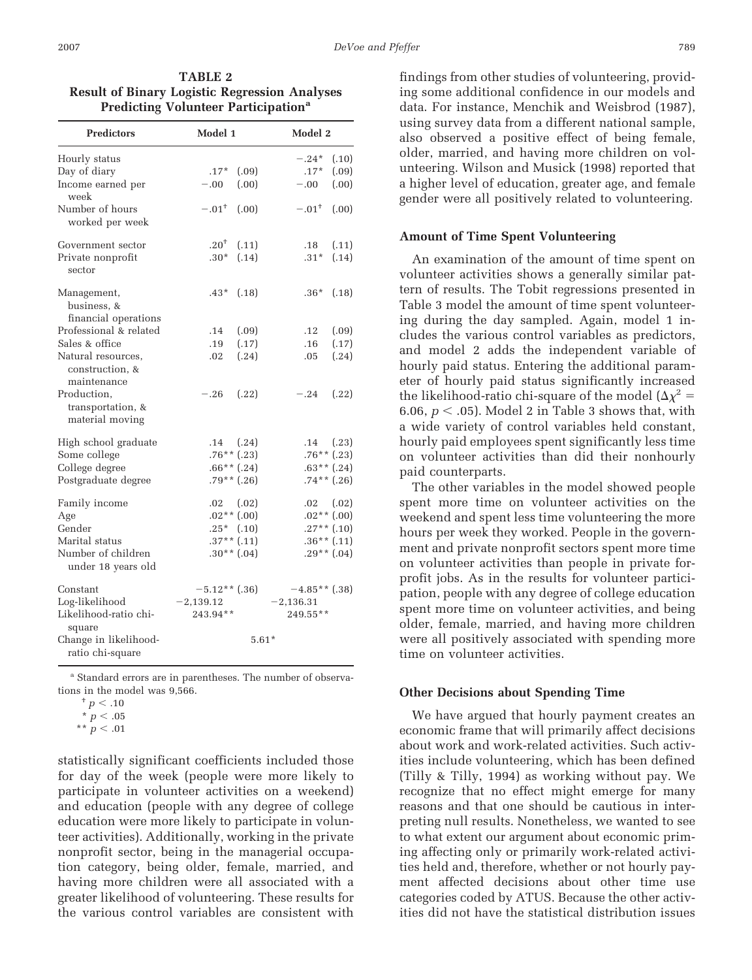| <b>Predictors</b>                                    | Model 1           | Model 2           |  |  |  |
|------------------------------------------------------|-------------------|-------------------|--|--|--|
| Hourly status                                        |                   | $-.24*$<br>(.10)  |  |  |  |
| Day of diary                                         | $.17*$<br>(.09)   | (.09)<br>$.17*$   |  |  |  |
| Income earned per<br>week                            | (.00)<br>$-.00$   | (.00)<br>$-.00$   |  |  |  |
| Number of hours<br>worked per week                   | $-.01^+$<br>(.00) | $-.01^+$<br>(.00) |  |  |  |
| Government sector                                    | $.20+$<br>(.11)   | (.11)<br>.18      |  |  |  |
| Private nonprofit<br>sector                          | $.30*$<br>(.14)   | $.31*$<br>(.14)   |  |  |  |
| Management,<br>business, &<br>financial operations   | $.43*$<br>(.18)   | $.36*$<br>(.18)   |  |  |  |
| Professional & related                               | (.09)<br>.14      | (.09)<br>.12      |  |  |  |
| Sales & office                                       | .19<br>(.17)      | .16<br>(.17)      |  |  |  |
| Natural resources,<br>construction, &<br>maintenance | (.24)<br>.02      | (.24)<br>.05      |  |  |  |
| Production,                                          | $-.26$<br>(.22)   | $-.24$<br>(.22)   |  |  |  |
| transportation, &<br>material moving                 |                   |                   |  |  |  |
| High school graduate                                 | $.14 \quad (.24)$ | $.14 \quad (.23)$ |  |  |  |
| Some college                                         | $.76***$ (.23)    | $.76**$ (.23)     |  |  |  |
| College degree                                       | $.66***$ (.24)    | $.63**$ (.24)     |  |  |  |
| Postgraduate degree                                  | $.79**$ (.26)     | $.74**$ (.26)     |  |  |  |
| Family income                                        | $.02\,$<br>(.02)  | $.02 \quad (.02)$ |  |  |  |
| Age                                                  | $.02**$ $(.00)$   | $.02**$ $(.00)$   |  |  |  |
| Gender                                               | $.25*$ (.10)      | $.27**$ (.10)     |  |  |  |
| Marital status                                       | $.37**$ (.11)     | $.36**$ (.11)     |  |  |  |
| Number of children<br>under 18 years old             | $.30**$ (.04)     | $.29**$ (.04)     |  |  |  |
| Constant                                             | $-5.12**$ (.36)   | $-4.85**$ (.38)   |  |  |  |
| Log-likelihood                                       | $-2,139.12$       | $-2,136.31$       |  |  |  |
| Likelihood-ratio chi-<br>square                      | 243.94**          | 249.55**          |  |  |  |
| Change in likelihood-<br>ratio chi-square            |                   | $5.61*$           |  |  |  |

**TABLE 2 Result of Binary Logistic Regression Analyses Predicting Volunteer Participation**<sup>a</sup>

<sup>a</sup> Standard errors are in parentheses. The number of observations in the model was 9,566.

 $*$  \* *p*  $< .01$ 

statistically significant coefficients included those for day of the week (people were more likely to participate in volunteer activities on a weekend) and education (people with any degree of college education were more likely to participate in volunteer activities). Additionally, working in the private nonprofit sector, being in the managerial occupation category, being older, female, married, and having more children were all associated with a greater likelihood of volunteering. These results for the various control variables are consistent with findings from other studies of volunteering, providing some additional confidence in our models and data. For instance, Menchik and Weisbrod (1987), using survey data from a different national sample, also observed a positive effect of being female, older, married, and having more children on volunteering. Wilson and Musick (1998) reported that a higher level of education, greater age, and female gender were all positively related to volunteering.

### **Amount of Time Spent Volunteering**

An examination of the amount of time spent on volunteer activities shows a generally similar pattern of results. The Tobit regressions presented in Table 3 model the amount of time spent volunteering during the day sampled. Again, model 1 includes the various control variables as predictors, and model 2 adds the independent variable of hourly paid status. Entering the additional parameter of hourly paid status significantly increased the likelihood-ratio chi-square of the model  $(\Delta \chi^2 =$ 6.06,  $p <$  .05). Model 2 in Table 3 shows that, with a wide variety of control variables held constant, hourly paid employees spent significantly less time on volunteer activities than did their nonhourly paid counterparts.

The other variables in the model showed people spent more time on volunteer activities on the weekend and spent less time volunteering the more hours per week they worked. People in the government and private nonprofit sectors spent more time on volunteer activities than people in private forprofit jobs. As in the results for volunteer participation, people with any degree of college education spent more time on volunteer activities, and being older, female, married, and having more children were all positively associated with spending more time on volunteer activities.

### **Other Decisions about Spending Time**

We have argued that hourly payment creates an economic frame that will primarily affect decisions about work and work-related activities. Such activities include volunteering, which has been defined (Tilly & Tilly, 1994) as working without pay. We recognize that no effect might emerge for many reasons and that one should be cautious in interpreting null results. Nonetheless, we wanted to see to what extent our argument about economic priming affecting only or primarily work-related activities held and, therefore, whether or not hourly payment affected decisions about other time use categories coded by ATUS. Because the other activities did not have the statistical distribution issues

 $p < .10$ 

 $*$   $p < .05$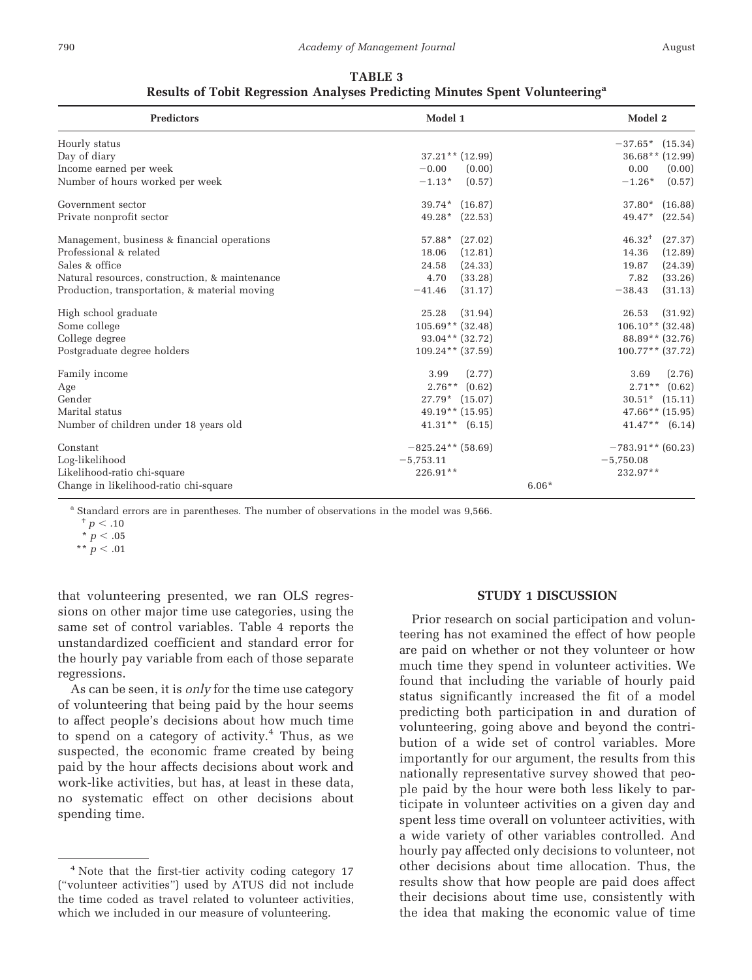| <b>Predictors</b>                              | Model 1             | Model 2                |
|------------------------------------------------|---------------------|------------------------|
| Hourly status                                  |                     | (15.34)<br>$-37.65*$   |
| Day of diary                                   | $37.21**$ (12.99)   | $36.68**$ (12.99)      |
| Income earned per week                         | $-0.00$<br>(0.00)   | 0.00<br>(0.00)         |
| Number of hours worked per week                | (0.57)<br>$-1.13*$  | $-1.26*$<br>(0.57)     |
| Government sector                              | $39.74*$ (16.87)    | (16.88)<br>37.80*      |
| Private nonprofit sector                       | $49.28*$<br>(22.53) | 49.47*<br>(22.54)      |
| Management, business & financial operations    | (27.02)<br>$57.88*$ | $46.32^{+}$<br>(27.37) |
| Professional & related                         | (12.81)<br>18.06    | (12.89)<br>14.36       |
| Sales & office                                 | 24.58<br>(24.33)    | (24.39)<br>19.87       |
| Natural resources, construction, & maintenance | (33.28)<br>4.70     | 7.82<br>(33.26)        |
| Production, transportation, & material moving  | (31.17)<br>$-41.46$ | (31.13)<br>$-38.43$    |
| High school graduate                           | 25.28<br>(31.94)    | 26.53<br>(31.92)       |
| Some college                                   | $105.69**$ (32.48)  | $106.10**$ (32.48)     |
| College degree                                 | $93.04**$ (32.72)   | 88.89** (32.76)        |
| Postgraduate degree holders                    | $109.24**$ (37.59)  | $100.77**$ (37.72)     |
| Family income                                  | (2.77)<br>3.99      | (2.76)<br>3.69         |
| Age                                            | $2.76**$<br>(0.62)  | $2.71**$<br>(0.62)     |
| Gender                                         | $27.79*$ (15.07)    | $30.51*$ (15.11)       |
| Marital status                                 | $49.19**$ (15.95)   | $47.66**$ (15.95)      |
| Number of children under 18 years old          | $41.31**$ (6.15)    | $41.47**$ $(6.14)$     |
| Constant                                       | $-825.24**$ (58.69) | $-783.91**$ (60.23)    |
| Log-likelihood                                 | $-5,753.11$         | $-5,750.08$            |
| Likelihood-ratio chi-square                    | 226.91**            | 232.97**               |
| Change in likelihood-ratio chi-square          | $6.06*$             |                        |

**TABLE 3 Results of Tobit Regression Analyses Predicting Minutes Spent Volunteeringa**

<sup>a</sup> Standard errors are in parentheses. The number of observations in the model was 9,566.

 $*$  \* *p*  $< .01$ 

that volunteering presented, we ran OLS regressions on other major time use categories, using the same set of control variables. Table 4 reports the unstandardized coefficient and standard error for the hourly pay variable from each of those separate regressions.

As can be seen, it is *only* for the time use category of volunteering that being paid by the hour seems to affect people's decisions about how much time to spend on a category of activity. $4$  Thus, as we suspected, the economic frame created by being paid by the hour affects decisions about work and work-like activities, but has, at least in these data, no systematic effect on other decisions about spending time.

### **STUDY 1 DISCUSSION**

Prior research on social participation and volunteering has not examined the effect of how people are paid on whether or not they volunteer or how much time they spend in volunteer activities. We found that including the variable of hourly paid status significantly increased the fit of a model predicting both participation in and duration of volunteering, going above and beyond the contribution of a wide set of control variables. More importantly for our argument, the results from this nationally representative survey showed that people paid by the hour were both less likely to participate in volunteer activities on a given day and spent less time overall on volunteer activities, with a wide variety of other variables controlled. And hourly pay affected only decisions to volunteer, not other decisions about time allocation. Thus, the results show that how people are paid does affect their decisions about time use, consistently with the idea that making the economic value of time

 $^{\texttt{+}}$   $p < .10$ 

 $*$   $p < .05$ 

<sup>&</sup>lt;sup>4</sup> Note that the first-tier activity coding category 17 ("volunteer activities") used by ATUS did not include the time coded as travel related to volunteer activities, which we included in our measure of volunteering.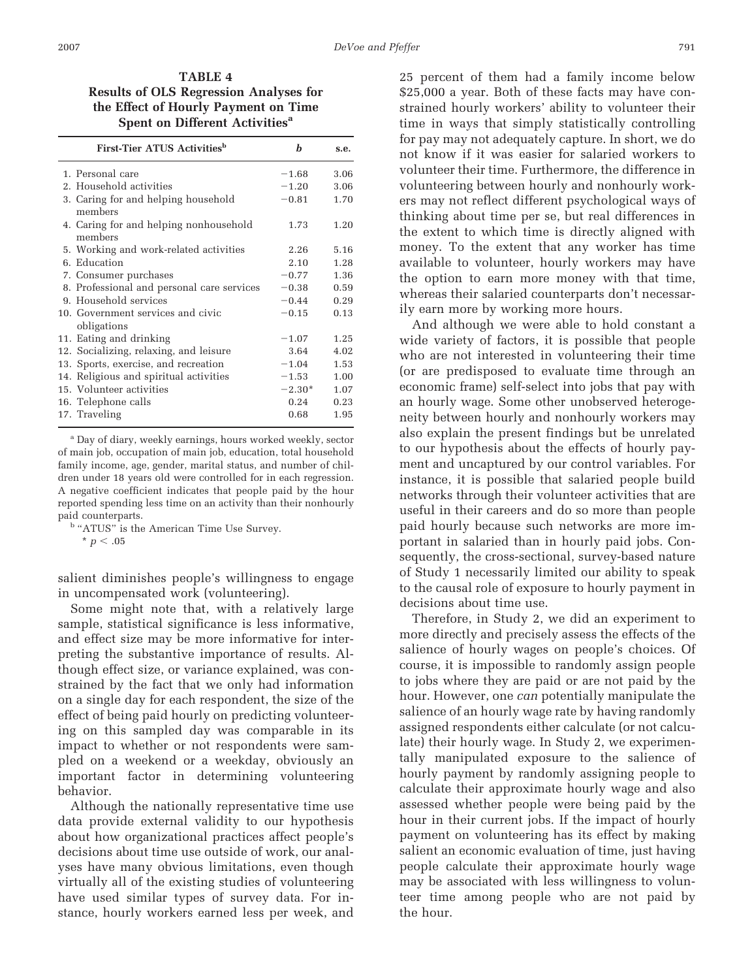**TABLE 4 Results of OLS Regression Analyses for the Effect of Hourly Payment on Time Spent on Different Activities<sup>a</sup>** 

| First-Tier ATUS Activities <sup>b</sup> | h                                                                                                                                                                                                                                                                                                                                                                                                                                                                                                                                                                     | s.e.                                     |
|-----------------------------------------|-----------------------------------------------------------------------------------------------------------------------------------------------------------------------------------------------------------------------------------------------------------------------------------------------------------------------------------------------------------------------------------------------------------------------------------------------------------------------------------------------------------------------------------------------------------------------|------------------------------------------|
|                                         | $-1.68$                                                                                                                                                                                                                                                                                                                                                                                                                                                                                                                                                               | 3.06                                     |
|                                         | $-1.20$                                                                                                                                                                                                                                                                                                                                                                                                                                                                                                                                                               | 3.06                                     |
| members                                 | $-0.81$                                                                                                                                                                                                                                                                                                                                                                                                                                                                                                                                                               | 1.70                                     |
| members                                 | 1.73                                                                                                                                                                                                                                                                                                                                                                                                                                                                                                                                                                  | 1.20                                     |
|                                         | 2.26                                                                                                                                                                                                                                                                                                                                                                                                                                                                                                                                                                  | 5.16                                     |
|                                         | 2.10                                                                                                                                                                                                                                                                                                                                                                                                                                                                                                                                                                  | 1.28                                     |
|                                         |                                                                                                                                                                                                                                                                                                                                                                                                                                                                                                                                                                       | 1.36                                     |
|                                         |                                                                                                                                                                                                                                                                                                                                                                                                                                                                                                                                                                       | 0.59                                     |
|                                         | $-0.44$                                                                                                                                                                                                                                                                                                                                                                                                                                                                                                                                                               | 0.29                                     |
|                                         | $-0.15$                                                                                                                                                                                                                                                                                                                                                                                                                                                                                                                                                               | 0.13                                     |
|                                         | $-1.07$                                                                                                                                                                                                                                                                                                                                                                                                                                                                                                                                                               | 1.25                                     |
|                                         | 3.64                                                                                                                                                                                                                                                                                                                                                                                                                                                                                                                                                                  | 4.02                                     |
|                                         |                                                                                                                                                                                                                                                                                                                                                                                                                                                                                                                                                                       | 1.53                                     |
|                                         |                                                                                                                                                                                                                                                                                                                                                                                                                                                                                                                                                                       | 1.00                                     |
|                                         | $-2.30*$                                                                                                                                                                                                                                                                                                                                                                                                                                                                                                                                                              | 1.07                                     |
|                                         | 0.24                                                                                                                                                                                                                                                                                                                                                                                                                                                                                                                                                                  | 0.23                                     |
|                                         | 0.68                                                                                                                                                                                                                                                                                                                                                                                                                                                                                                                                                                  | 1.95                                     |
|                                         | 1. Personal care<br>2. Household activities<br>3. Caring for and helping household<br>4. Caring for and helping nonhousehold<br>5. Working and work-related activities<br>6. Education<br>7. Consumer purchases<br>8. Professional and personal care services<br>9. Household services<br>10. Government services and civic<br>obligations<br>11. Eating and drinking<br>12. Socializing, relaxing, and leisure<br>13. Sports, exercise, and recreation<br>14. Religious and spiritual activities<br>15. Volunteer activities<br>16. Telephone calls<br>17. Traveling | $-0.77$<br>$-0.38$<br>$-1.04$<br>$-1.53$ |

<sup>a</sup> Day of diary, weekly earnings, hours worked weekly, sector of main job, occupation of main job, education, total household family income, age, gender, marital status, and number of children under 18 years old were controlled for in each regression. A negative coefficient indicates that people paid by the hour reported spending less time on an activity than their nonhourly paid counterparts.

<sup>b</sup> "ATUS" is the American Time Use Survey.  $*$   $p < .05$ 

salient diminishes people's willingness to engage in uncompensated work (volunteering).

Some might note that, with a relatively large sample, statistical significance is less informative, and effect size may be more informative for interpreting the substantive importance of results. Although effect size, or variance explained, was constrained by the fact that we only had information on a single day for each respondent, the size of the effect of being paid hourly on predicting volunteering on this sampled day was comparable in its impact to whether or not respondents were sampled on a weekend or a weekday, obviously an important factor in determining volunteering behavior.

Although the nationally representative time use data provide external validity to our hypothesis about how organizational practices affect people's decisions about time use outside of work, our analyses have many obvious limitations, even though virtually all of the existing studies of volunteering have used similar types of survey data. For instance, hourly workers earned less per week, and

25 percent of them had a family income below \$25,000 a year. Both of these facts may have constrained hourly workers' ability to volunteer their time in ways that simply statistically controlling for pay may not adequately capture. In short, we do not know if it was easier for salaried workers to volunteer their time. Furthermore, the difference in volunteering between hourly and nonhourly workers may not reflect different psychological ways of thinking about time per se, but real differences in the extent to which time is directly aligned with money. To the extent that any worker has time available to volunteer, hourly workers may have the option to earn more money with that time, whereas their salaried counterparts don't necessarily earn more by working more hours.

And although we were able to hold constant a wide variety of factors, it is possible that people who are not interested in volunteering their time (or are predisposed to evaluate time through an economic frame) self-select into jobs that pay with an hourly wage. Some other unobserved heterogeneity between hourly and nonhourly workers may also explain the present findings but be unrelated to our hypothesis about the effects of hourly payment and uncaptured by our control variables. For instance, it is possible that salaried people build networks through their volunteer activities that are useful in their careers and do so more than people paid hourly because such networks are more important in salaried than in hourly paid jobs. Consequently, the cross-sectional, survey-based nature of Study 1 necessarily limited our ability to speak to the causal role of exposure to hourly payment in decisions about time use.

Therefore, in Study 2, we did an experiment to more directly and precisely assess the effects of the salience of hourly wages on people's choices. Of course, it is impossible to randomly assign people to jobs where they are paid or are not paid by the hour. However, one *can* potentially manipulate the salience of an hourly wage rate by having randomly assigned respondents either calculate (or not calculate) their hourly wage. In Study 2, we experimentally manipulated exposure to the salience of hourly payment by randomly assigning people to calculate their approximate hourly wage and also assessed whether people were being paid by the hour in their current jobs. If the impact of hourly payment on volunteering has its effect by making salient an economic evaluation of time, just having people calculate their approximate hourly wage may be associated with less willingness to volunteer time among people who are not paid by the hour.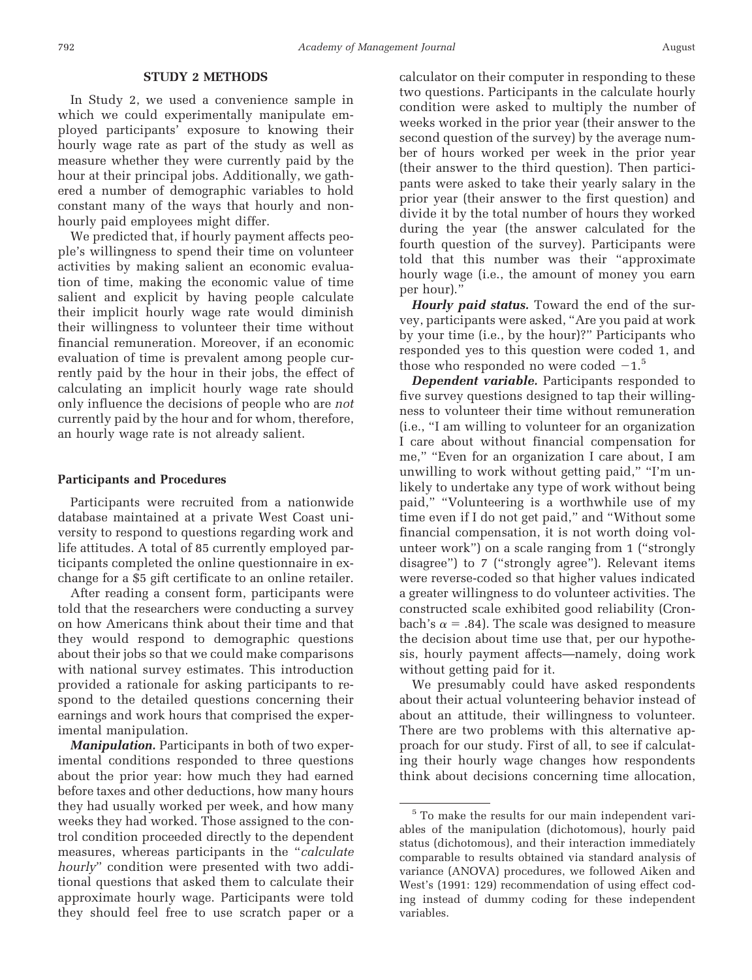### **STUDY 2 METHODS**

In Study 2, we used a convenience sample in which we could experimentally manipulate employed participants' exposure to knowing their hourly wage rate as part of the study as well as measure whether they were currently paid by the hour at their principal jobs. Additionally, we gathered a number of demographic variables to hold constant many of the ways that hourly and nonhourly paid employees might differ.

We predicted that, if hourly payment affects people's willingness to spend their time on volunteer activities by making salient an economic evaluation of time, making the economic value of time salient and explicit by having people calculate their implicit hourly wage rate would diminish their willingness to volunteer their time without financial remuneration. Moreover, if an economic evaluation of time is prevalent among people currently paid by the hour in their jobs, the effect of calculating an implicit hourly wage rate should only influence the decisions of people who are *not* currently paid by the hour and for whom, therefore, an hourly wage rate is not already salient.

#### **Participants and Procedures**

Participants were recruited from a nationwide database maintained at a private West Coast university to respond to questions regarding work and life attitudes. A total of 85 currently employed participants completed the online questionnaire in exchange for a \$5 gift certificate to an online retailer.

After reading a consent form, participants were told that the researchers were conducting a survey on how Americans think about their time and that they would respond to demographic questions about their jobs so that we could make comparisons with national survey estimates. This introduction provided a rationale for asking participants to respond to the detailed questions concerning their earnings and work hours that comprised the experimental manipulation.

*Manipulation.* Participants in both of two experimental conditions responded to three questions about the prior year: how much they had earned before taxes and other deductions, how many hours they had usually worked per week, and how many weeks they had worked. Those assigned to the control condition proceeded directly to the dependent measures, whereas participants in the "*calculate hourly*" condition were presented with two additional questions that asked them to calculate their approximate hourly wage. Participants were told they should feel free to use scratch paper or a

calculator on their computer in responding to these two questions. Participants in the calculate hourly condition were asked to multiply the number of weeks worked in the prior year (their answer to the second question of the survey) by the average number of hours worked per week in the prior year (their answer to the third question). Then participants were asked to take their yearly salary in the prior year (their answer to the first question) and divide it by the total number of hours they worked during the year (the answer calculated for the fourth question of the survey). Participants were told that this number was their "approximate hourly wage (i.e., the amount of money you earn per hour)."

*Hourly paid status.* Toward the end of the survey, participants were asked, "Are you paid at work by your time (i.e., by the hour)?" Participants who responded yes to this question were coded 1, and those who responded no were coded  $-1<sup>5</sup>$ 

*Dependent variable.* Participants responded to five survey questions designed to tap their willingness to volunteer their time without remuneration (i.e., "I am willing to volunteer for an organization I care about without financial compensation for me," "Even for an organization I care about, I am unwilling to work without getting paid," "I'm unlikely to undertake any type of work without being paid," "Volunteering is a worthwhile use of my time even if I do not get paid," and "Without some financial compensation, it is not worth doing volunteer work") on a scale ranging from 1 ("strongly disagree") to 7 ("strongly agree"). Relevant items were reverse-coded so that higher values indicated a greater willingness to do volunteer activities. The constructed scale exhibited good reliability (Cronbach's  $\alpha =$  .84). The scale was designed to measure the decision about time use that, per our hypothesis, hourly payment affects—namely, doing work without getting paid for it.

We presumably could have asked respondents about their actual volunteering behavior instead of about an attitude, their willingness to volunteer. There are two problems with this alternative approach for our study. First of all, to see if calculating their hourly wage changes how respondents think about decisions concerning time allocation,

<sup>5</sup> To make the results for our main independent variables of the manipulation (dichotomous), hourly paid status (dichotomous), and their interaction immediately comparable to results obtained via standard analysis of variance (ANOVA) procedures, we followed Aiken and West's (1991: 129) recommendation of using effect coding instead of dummy coding for these independent variables.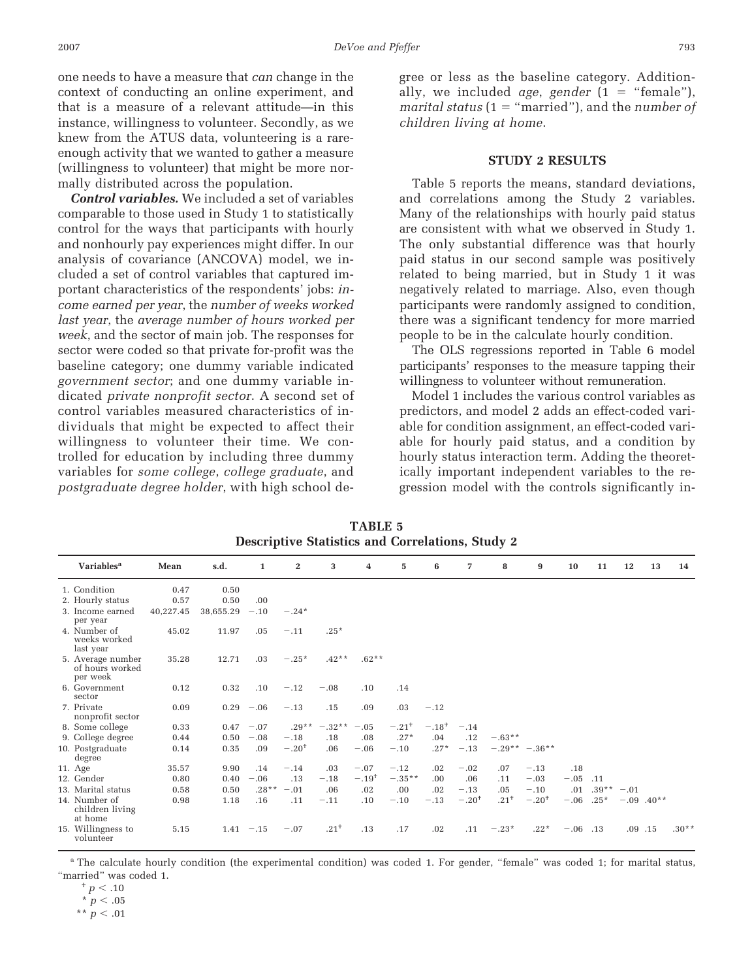one needs to have a measure that *can* change in the context of conducting an online experiment, and that is a measure of a relevant attitude—in this instance, willingness to volunteer. Secondly, as we knew from the ATUS data, volunteering is a rareenough activity that we wanted to gather a measure (willingness to volunteer) that might be more normally distributed across the population.

*Control variables.* We included a set of variables comparable to those used in Study 1 to statistically control for the ways that participants with hourly and nonhourly pay experiences might differ. In our analysis of covariance (ANCOVA) model, we included a set of control variables that captured important characteristics of the respondents' jobs: *income earned per year*, the *number of weeks worked last year*, the *average number of hours worked per week*, and the sector of main job. The responses for sector were coded so that private for-profit was the baseline category; one dummy variable indicated *government sector*; and one dummy variable indicated *private nonprofit sector*. A second set of control variables measured characteristics of individuals that might be expected to affect their willingness to volunteer their time. We controlled for education by including three dummy variables for *some college*, *college graduate*, and *postgraduate degree holder*, with high school degree or less as the baseline category. Additionally, we included *age*, *gender*  $(1 - \text{``female''})$ , *marital status* ( $1 =$  "married"), and the *number of children living at home*.

#### **STUDY 2 RESULTS**

Table 5 reports the means, standard deviations, and correlations among the Study 2 variables. Many of the relationships with hourly paid status are consistent with what we observed in Study 1. The only substantial difference was that hourly paid status in our second sample was positively related to being married, but in Study 1 it was negatively related to marriage. Also, even though participants were randomly assigned to condition, there was a significant tendency for more married people to be in the calculate hourly condition.

The OLS regressions reported in Table 6 model participants' responses to the measure tapping their willingness to volunteer without remuneration.

Model 1 includes the various control variables as predictors, and model 2 adds an effect-coded variable for condition assignment, an effect-coded variable for hourly paid status, and a condition by hourly status interaction term. Adding the theoretically important independent variables to the regression model with the controls significantly in-

| Variables <sup>a</sup>                           | Mean      | s.d.      | $\mathbf{1}$ | $\mathbf{2}$ | 3               | $\overline{4}$ | 5                   | 6        | $\overline{7}$ | 8                | 9              | 10     | 11           | 12          | 13                       | 14      |
|--------------------------------------------------|-----------|-----------|--------------|--------------|-----------------|----------------|---------------------|----------|----------------|------------------|----------------|--------|--------------|-------------|--------------------------|---------|
| 1. Condition                                     | 0.47      | 0.50      |              |              |                 |                |                     |          |                |                  |                |        |              |             |                          |         |
| 2. Hourly status                                 | 0.57      | 0.50      | .00          |              |                 |                |                     |          |                |                  |                |        |              |             |                          |         |
| 3. Income earned<br>per year                     | 40,227.45 | 38,655.29 | $-.10$       | $-.24*$      |                 |                |                     |          |                |                  |                |        |              |             |                          |         |
| 4. Number of<br>weeks worked<br>last year        | 45.02     | 11.97     | .05          | $-.11$       | $.25*$          |                |                     |          |                |                  |                |        |              |             |                          |         |
| 5. Average number<br>of hours worked<br>per week | 35.28     | 12.71     | .03          | $-.25*$      | $.42**$         | $.62**$        |                     |          |                |                  |                |        |              |             |                          |         |
| 6. Government<br>sector                          | 0.12      | 0.32      | .10          | $-.12$       | $-.08$          | .10            | .14                 |          |                |                  |                |        |              |             |                          |         |
| 7. Private<br>nonprofit sector                   | 0.09      | 0.29      | $-.06$       | $-.13$       | .15             | .09            | .03                 | $-.12$   |                |                  |                |        |              |             |                          |         |
| 8. Some college                                  | 0.33      | 0.47      | $-.07$       |              | $.29*** -.32**$ | $-.05$         | $-.21$ <sup>+</sup> | $-.18^+$ | $-.14$         |                  |                |        |              |             |                          |         |
| 9. College degree                                | 0.44      | 0.50      | $-.08$       | $-.18$       | .18             | .08            | $.27*$              | .04      | .12            | $-.63**$         |                |        |              |             |                          |         |
| 10. Postgraduate<br>degree                       | 0.14      | 0.35      | .09          | $-.20†$      | .06             | $-.06$         | $-.10$              | $.27*$   | $-.13$         |                  | $-.29**-.36**$ |        |              |             |                          |         |
| 11. Age                                          | 35.57     | 9.90      | .14          | $-.14$       | .03             | $-.07$         | $-.12$              | .02      | $-.02$         | .07              | $-.13$         | .18    |              |             |                          |         |
| 12. Gender                                       | 0.80      | 0.40      | $-.06$       | .13          | $-.18$          | $-.19^{+}$     | $-.35**$            | .00      | .06            | .11              | $-.03$         | $-.05$ | .11          |             |                          |         |
| 13. Marital status                               | 0.58      | 0.50      | $.28**$      | $-.01$       | .06             | .02            | .00                 | .02      | $-.13$         | .05              | $-.10$         | .01    | $.39** -.01$ |             |                          |         |
| 14. Number of<br>children living<br>at home      | 0.98      | 1.18      | .16          | .11          | $-.11$          | .10            | $-.10$              | $-.13$   | $-.20†$        | .21 <sup>†</sup> | $-.20†$        | $-.06$ | $.25*$       |             | $-.09$ .40 <sup>**</sup> |         |
| 15. Willingness to<br>volunteer                  | 5.15      | 1.41      | $-.15$       | $-.07$       | $.21^{+}$       | .13            | .17                 | .02      | .11            | $-.23*$          | $.22*$         | $-.06$ | .13          | $.09$ $.15$ |                          | $.30**$ |

**TABLE 5 Descriptive Statistics and Correlations, Study 2**

<sup>a</sup> The calculate hourly condition (the experimental condition) was coded 1. For gender, "female" was coded 1; for marital status, "married" was coded 1.

 $^{\texttt{+}}$   $p < .10$ 

 $*$   $p < .05$ 

 $*$  \* *p*  $< .01$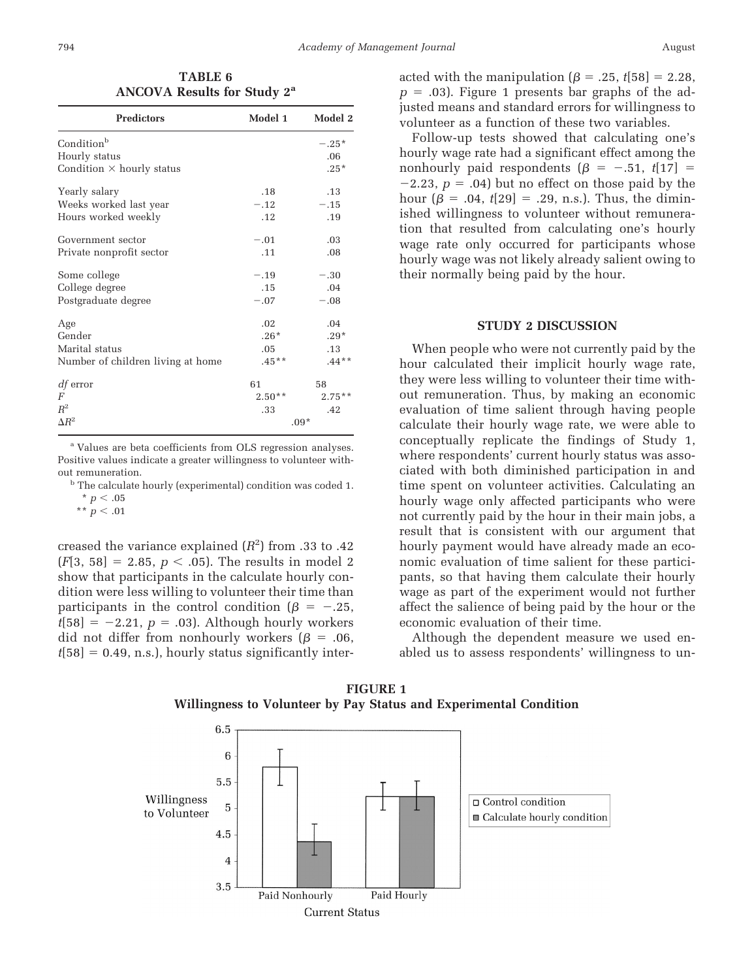**TABLE 6 ANCOVA Results for Study 2a**

| <b>Predictors</b>                 | Model 1  | Model 2   |
|-----------------------------------|----------|-----------|
| Condition <sup>b</sup>            |          | $-.25*$   |
| Hourly status                     |          | .06       |
| Condition $\times$ hourly status  |          | $.25*$    |
| Yearly salary                     | .18      | .13       |
| Weeks worked last year            | $-.12$   | $-.15$    |
| Hours worked weekly               | .12      | .19       |
| Government sector                 | $-.01$   | .03       |
| Private nonprofit sector          | .11      | .08       |
| Some college                      | $-.19$   | $-.30$    |
| College degree                    | .15      | .04       |
| Postgraduate degree               | $-.07$   | $-.08$    |
| Age                               | .02      | .04       |
| Gender                            | $.26*$   | $.29*$    |
| Marital status                    | .05      | .13       |
| Number of children living at home | $.45**$  | $.44**$   |
| $df$ error                        | 61       | 58        |
| F                                 | $2.50**$ | $2.75***$ |
| $R^2$                             | .33      | .42       |
| $\Delta R^2$                      |          | $.09*$    |

<sup>a</sup> Values are beta coefficients from OLS regression analyses. Positive values indicate a greater willingness to volunteer without remuneration.

<sup>b</sup> The calculate hourly (experimental) condition was coded 1.  $*$   $p < .05$ 

 $*$  \* *p*  $< .01$ 

creased the variance explained  $(R^2)$  from .33 to .42  $(F[3, 58] = 2.85, p < .05)$ . The results in model 2 show that participants in the calculate hourly condition were less willing to volunteer their time than participants in the control condition ( $\beta = -.25$ ,  $t[58] = -2.21$ ,  $p = .03$ ). Although hourly workers did not differ from nonhourly workers ( $\beta = .06$ ,  $t[58] = 0.49$ , n.s.), hourly status significantly interacted with the manipulation  $(\beta = .25, t[58] = 2.28,$  $p = .03$ ). Figure 1 presents bar graphs of the adjusted means and standard errors for willingness to volunteer as a function of these two variables.

Follow-up tests showed that calculating one's hourly wage rate had a significant effect among the nonhourly paid respondents  $(\beta = -.51, t[17])$  $-2.23$ ,  $p = .04$ ) but no effect on those paid by the hour  $(\beta = .04, t[29] = .29, n.s.).$  Thus, the diminished willingness to volunteer without remuneration that resulted from calculating one's hourly wage rate only occurred for participants whose hourly wage was not likely already salient owing to their normally being paid by the hour.

### **STUDY 2 DISCUSSION**

When people who were not currently paid by the hour calculated their implicit hourly wage rate, they were less willing to volunteer their time without remuneration. Thus, by making an economic evaluation of time salient through having people calculate their hourly wage rate, we were able to conceptually replicate the findings of Study 1, where respondents' current hourly status was associated with both diminished participation in and time spent on volunteer activities. Calculating an hourly wage only affected participants who were not currently paid by the hour in their main jobs, a result that is consistent with our argument that hourly payment would have already made an economic evaluation of time salient for these participants, so that having them calculate their hourly wage as part of the experiment would not further affect the salience of being paid by the hour or the economic evaluation of their time.

Although the dependent measure we used enabled us to assess respondents' willingness to un-



**FIGURE 1 Willingness to Volunteer by Pay Status and Experimental Condition**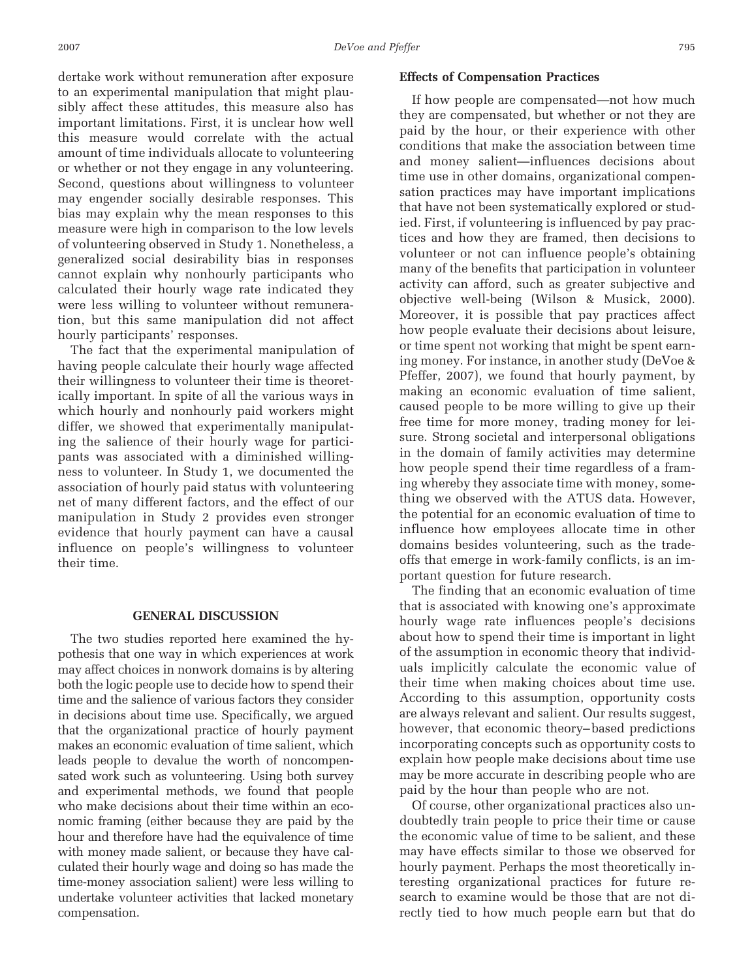dertake work without remuneration after exposure to an experimental manipulation that might plausibly affect these attitudes, this measure also has important limitations. First, it is unclear how well this measure would correlate with the actual amount of time individuals allocate to volunteering or whether or not they engage in any volunteering. Second, questions about willingness to volunteer may engender socially desirable responses. This bias may explain why the mean responses to this measure were high in comparison to the low levels of volunteering observed in Study 1. Nonetheless, a generalized social desirability bias in responses cannot explain why nonhourly participants who calculated their hourly wage rate indicated they were less willing to volunteer without remuneration, but this same manipulation did not affect hourly participants' responses.

The fact that the experimental manipulation of having people calculate their hourly wage affected their willingness to volunteer their time is theoretically important. In spite of all the various ways in which hourly and nonhourly paid workers might differ, we showed that experimentally manipulating the salience of their hourly wage for participants was associated with a diminished willingness to volunteer. In Study 1, we documented the association of hourly paid status with volunteering net of many different factors, and the effect of our manipulation in Study 2 provides even stronger evidence that hourly payment can have a causal influence on people's willingness to volunteer their time.

#### **GENERAL DISCUSSION**

The two studies reported here examined the hypothesis that one way in which experiences at work may affect choices in nonwork domains is by altering both the logic people use to decide how to spend their time and the salience of various factors they consider in decisions about time use. Specifically, we argued that the organizational practice of hourly payment makes an economic evaluation of time salient, which leads people to devalue the worth of noncompensated work such as volunteering. Using both survey and experimental methods, we found that people who make decisions about their time within an economic framing (either because they are paid by the hour and therefore have had the equivalence of time with money made salient, or because they have calculated their hourly wage and doing so has made the time-money association salient) were less willing to undertake volunteer activities that lacked monetary compensation.

#### **Effects of Compensation Practices**

If how people are compensated—not how much they are compensated, but whether or not they are paid by the hour, or their experience with other conditions that make the association between time and money salient—influences decisions about time use in other domains, organizational compensation practices may have important implications that have not been systematically explored or studied. First, if volunteering is influenced by pay practices and how they are framed, then decisions to volunteer or not can influence people's obtaining many of the benefits that participation in volunteer activity can afford, such as greater subjective and objective well-being (Wilson & Musick, 2000). Moreover, it is possible that pay practices affect how people evaluate their decisions about leisure, or time spent not working that might be spent earning money. For instance, in another study (DeVoe & Pfeffer, 2007), we found that hourly payment, by making an economic evaluation of time salient, caused people to be more willing to give up their free time for more money, trading money for leisure. Strong societal and interpersonal obligations in the domain of family activities may determine how people spend their time regardless of a framing whereby they associate time with money, something we observed with the ATUS data. However, the potential for an economic evaluation of time to influence how employees allocate time in other domains besides volunteering, such as the tradeoffs that emerge in work-family conflicts, is an important question for future research.

The finding that an economic evaluation of time that is associated with knowing one's approximate hourly wage rate influences people's decisions about how to spend their time is important in light of the assumption in economic theory that individuals implicitly calculate the economic value of their time when making choices about time use. According to this assumption, opportunity costs are always relevant and salient. Our results suggest, however, that economic theory– based predictions incorporating concepts such as opportunity costs to explain how people make decisions about time use may be more accurate in describing people who are paid by the hour than people who are not.

Of course, other organizational practices also undoubtedly train people to price their time or cause the economic value of time to be salient, and these may have effects similar to those we observed for hourly payment. Perhaps the most theoretically interesting organizational practices for future research to examine would be those that are not directly tied to how much people earn but that do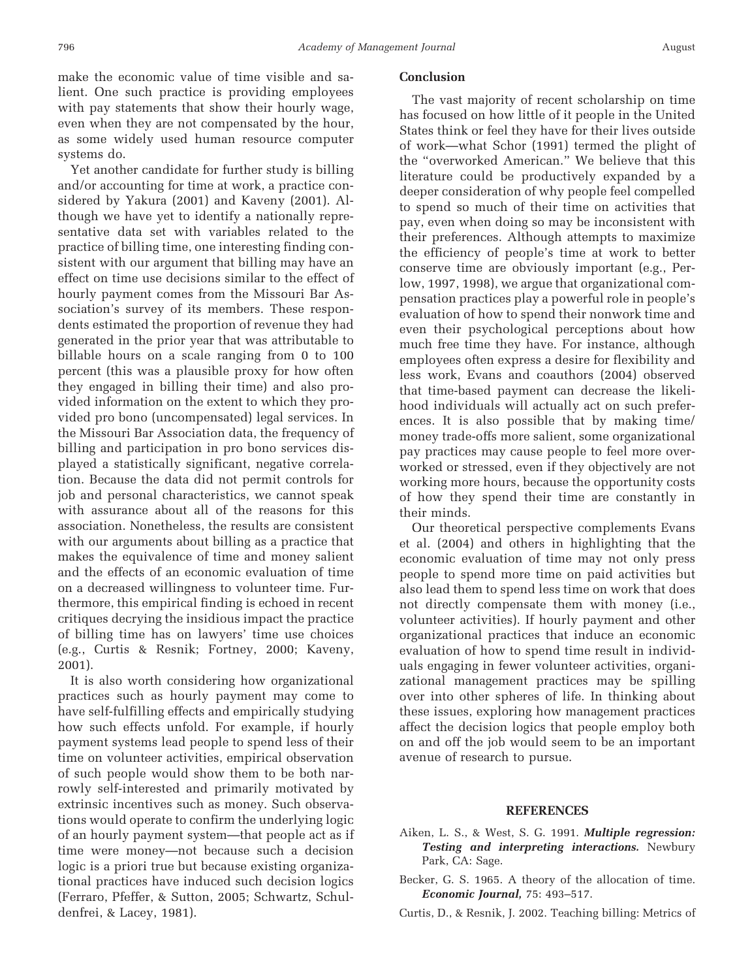make the economic value of time visible and salient. One such practice is providing employees with pay statements that show their hourly wage, even when they are not compensated by the hour, as some widely used human resource computer systems do.

Yet another candidate for further study is billing and/or accounting for time at work, a practice considered by Yakura (2001) and Kaveny (2001). Although we have yet to identify a nationally representative data set with variables related to the practice of billing time, one interesting finding consistent with our argument that billing may have an effect on time use decisions similar to the effect of hourly payment comes from the Missouri Bar Association's survey of its members. These respondents estimated the proportion of revenue they had generated in the prior year that was attributable to billable hours on a scale ranging from 0 to 100 percent (this was a plausible proxy for how often they engaged in billing their time) and also provided information on the extent to which they provided pro bono (uncompensated) legal services. In the Missouri Bar Association data, the frequency of billing and participation in pro bono services displayed a statistically significant, negative correlation. Because the data did not permit controls for job and personal characteristics, we cannot speak with assurance about all of the reasons for this association. Nonetheless, the results are consistent with our arguments about billing as a practice that makes the equivalence of time and money salient and the effects of an economic evaluation of time on a decreased willingness to volunteer time. Furthermore, this empirical finding is echoed in recent critiques decrying the insidious impact the practice of billing time has on lawyers' time use choices (e.g., Curtis & Resnik; Fortney, 2000; Kaveny, 2001).

It is also worth considering how organizational practices such as hourly payment may come to have self-fulfilling effects and empirically studying how such effects unfold. For example, if hourly payment systems lead people to spend less of their time on volunteer activities, empirical observation of such people would show them to be both narrowly self-interested and primarily motivated by extrinsic incentives such as money. Such observations would operate to confirm the underlying logic of an hourly payment system—that people act as if time were money—not because such a decision logic is a priori true but because existing organizational practices have induced such decision logics (Ferraro, Pfeffer, & Sutton, 2005; Schwartz, Schuldenfrei, & Lacey, 1981).

#### **Conclusion**

The vast majority of recent scholarship on time has focused on how little of it people in the United States think or feel they have for their lives outside of work—what Schor (1991) termed the plight of the "overworked American." We believe that this literature could be productively expanded by a deeper consideration of why people feel compelled to spend so much of their time on activities that pay, even when doing so may be inconsistent with their preferences. Although attempts to maximize the efficiency of people's time at work to better conserve time are obviously important (e.g., Perlow, 1997, 1998), we argue that organizational compensation practices play a powerful role in people's evaluation of how to spend their nonwork time and even their psychological perceptions about how much free time they have. For instance, although employees often express a desire for flexibility and less work, Evans and coauthors (2004) observed that time-based payment can decrease the likelihood individuals will actually act on such preferences. It is also possible that by making time/ money trade-offs more salient, some organizational pay practices may cause people to feel more overworked or stressed, even if they objectively are not working more hours, because the opportunity costs of how they spend their time are constantly in their minds.

Our theoretical perspective complements Evans et al. (2004) and others in highlighting that the economic evaluation of time may not only press people to spend more time on paid activities but also lead them to spend less time on work that does not directly compensate them with money (i.e., volunteer activities). If hourly payment and other organizational practices that induce an economic evaluation of how to spend time result in individuals engaging in fewer volunteer activities, organizational management practices may be spilling over into other spheres of life. In thinking about these issues, exploring how management practices affect the decision logics that people employ both on and off the job would seem to be an important avenue of research to pursue.

#### **REFERENCES**

- Aiken, L. S., & West, S. G. 1991. *Multiple regression: Testing and interpreting interactions.* Newbury Park, CA: Sage.
- Becker, G. S. 1965. A theory of the allocation of time. *Economic Journal,* 75: 493–517.
- Curtis, D., & Resnik, J. 2002. Teaching billing: Metrics of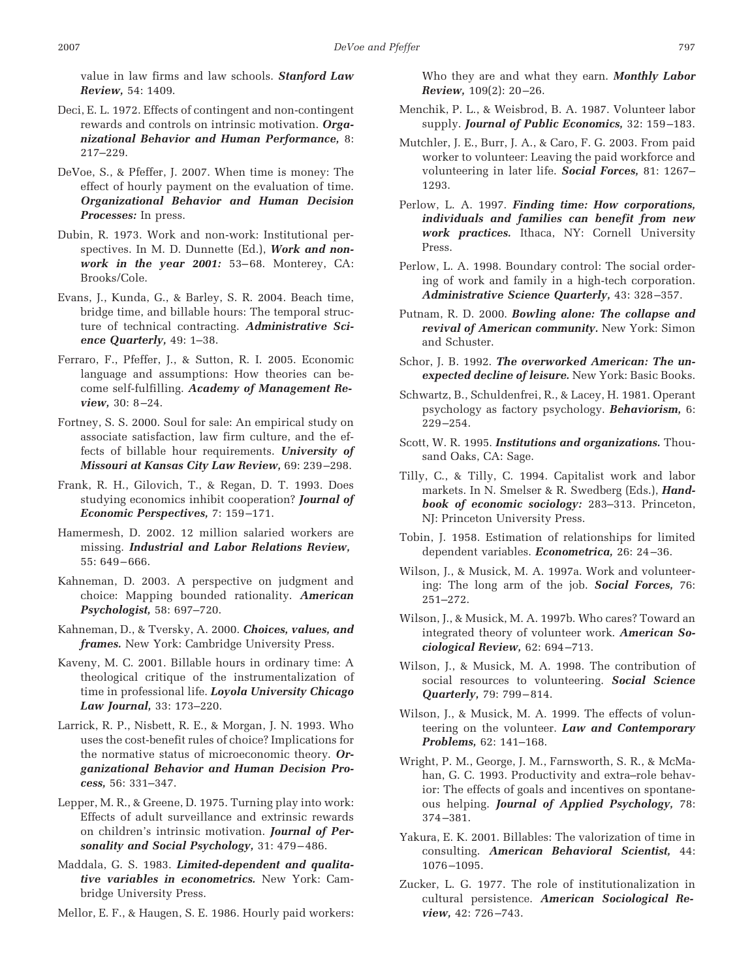value in law firms and law schools. *Stanford Law Review,* 54: 1409.

- Deci, E. L. 1972. Effects of contingent and non-contingent rewards and controls on intrinsic motivation. *Organizational Behavior and Human Performance,* 8: 217–229.
- DeVoe, S., & Pfeffer, J. 2007. When time is money: The effect of hourly payment on the evaluation of time. *Organizational Behavior and Human Decision Processes:* In press.
- Dubin, R. 1973. Work and non-work: Institutional perspectives. In M. D. Dunnette (Ed.), *Work and nonwork in the year 2001:* 53-68. Monterey, CA: Brooks/Cole.
- Evans, J., Kunda, G., & Barley, S. R. 2004. Beach time, bridge time, and billable hours: The temporal structure of technical contracting. *Administrative Science Quarterly,* 49: 1–38.
- Ferraro, F., Pfeffer, J., & Sutton, R. I. 2005. Economic language and assumptions: How theories can become self-fulfilling. *Academy of Management Review*, 30: 8-24.
- Fortney, S. S. 2000. Soul for sale: An empirical study on associate satisfaction, law firm culture, and the effects of billable hour requirements. *University of Missouri at Kansas City Law Review,* 69: 239 –298.
- Frank, R. H., Gilovich, T., & Regan, D. T. 1993. Does studying economics inhibit cooperation? *Journal of Economic Perspectives,* 7: 159 –171.
- Hamermesh, D. 2002. 12 million salaried workers are missing. *Industrial and Labor Relations Review,* 55: 649 – 666.
- Kahneman, D. 2003. A perspective on judgment and choice: Mapping bounded rationality. *American Psychologist,* 58: 697–720.
- Kahneman, D., & Tversky, A. 2000. *Choices, values, and frames.* New York: Cambridge University Press.
- Kaveny, M. C. 2001. Billable hours in ordinary time: A theological critique of the instrumentalization of time in professional life. *Loyola University Chicago Law Journal,* 33: 173–220.
- Larrick, R. P., Nisbett, R. E., & Morgan, J. N. 1993. Who uses the cost-benefit rules of choice? Implications for the normative status of microeconomic theory. *Organizational Behavior and Human Decision Process,* 56: 331–347.
- Lepper, M. R., & Greene, D. 1975. Turning play into work: Effects of adult surveillance and extrinsic rewards on children's intrinsic motivation. *Journal of Personality and Social Psychology,* 31: 479 – 486.
- Maddala, G. S. 1983. *Limited-dependent and qualitative variables in econometrics.* New York: Cambridge University Press.

Mellor, E. F., & Haugen, S. E. 1986. Hourly paid workers:

Who they are and what they earn. *Monthly Labor Review,* 109(2): 20-26.

- Menchik, P. L., & Weisbrod, B. A. 1987. Volunteer labor supply. *Journal of Public Economics,* 32: 159 –183.
- Mutchler, J. E., Burr, J. A., & Caro, F. G. 2003. From paid worker to volunteer: Leaving the paid workforce and volunteering in later life. *Social Forces,* 81: 1267– 1293.
- Perlow, L. A. 1997. *Finding time: How corporations, individuals and families can benefit from new work practices.* Ithaca, NY: Cornell University Press.
- Perlow, L. A. 1998. Boundary control: The social ordering of work and family in a high-tech corporation. *Administrative Science Quarterly,* 43: 328 –357.
- Putnam, R. D. 2000. *Bowling alone: The collapse and revival of American community.* New York: Simon and Schuster.
- Schor, J. B. 1992. *The overworked American: The unexpected decline of leisure.* New York: Basic Books.
- Schwartz, B., Schuldenfrei, R., & Lacey, H. 1981. Operant psychology as factory psychology. *Behaviorism,* 6: 229 –254.
- Scott, W. R. 1995. *Institutions and organizations.* Thousand Oaks, CA: Sage.
- Tilly, C., & Tilly, C. 1994. Capitalist work and labor markets. In N. Smelser & R. Swedberg (Eds.), *Handbook of economic sociology:* 283–313. Princeton, NJ: Princeton University Press.
- Tobin, J. 1958. Estimation of relationships for limited dependent variables. *Econometrica,* 26: 24 –36.
- Wilson, J., & Musick, M. A. 1997a. Work and volunteering: The long arm of the job. *Social Forces,* 76: 251–272.
- Wilson, J., & Musick, M. A. 1997b. Who cares? Toward an integrated theory of volunteer work. *American Sociological Review,* 62: 694 –713.
- Wilson, J., & Musick, M. A. 1998. The contribution of social resources to volunteering. *Social Science Quarterly,* 79: 799 – 814.
- Wilson, J., & Musick, M. A. 1999. The effects of volunteering on the volunteer. *Law and Contemporary Problems,* 62: 141–168.
- Wright, P. M., George, J. M., Farnsworth, S. R., & McMahan, G. C. 1993. Productivity and extra–role behavior: The effects of goals and incentives on spontaneous helping. *Journal of Applied Psychology,* 78: 374 –381.
- Yakura, E. K. 2001. Billables: The valorization of time in consulting. *American Behavioral Scientist,* 44: 1076 –1095.
- Zucker, L. G. 1977. The role of institutionalization in cultural persistence. *American Sociological Review,* 42: 726 –743.